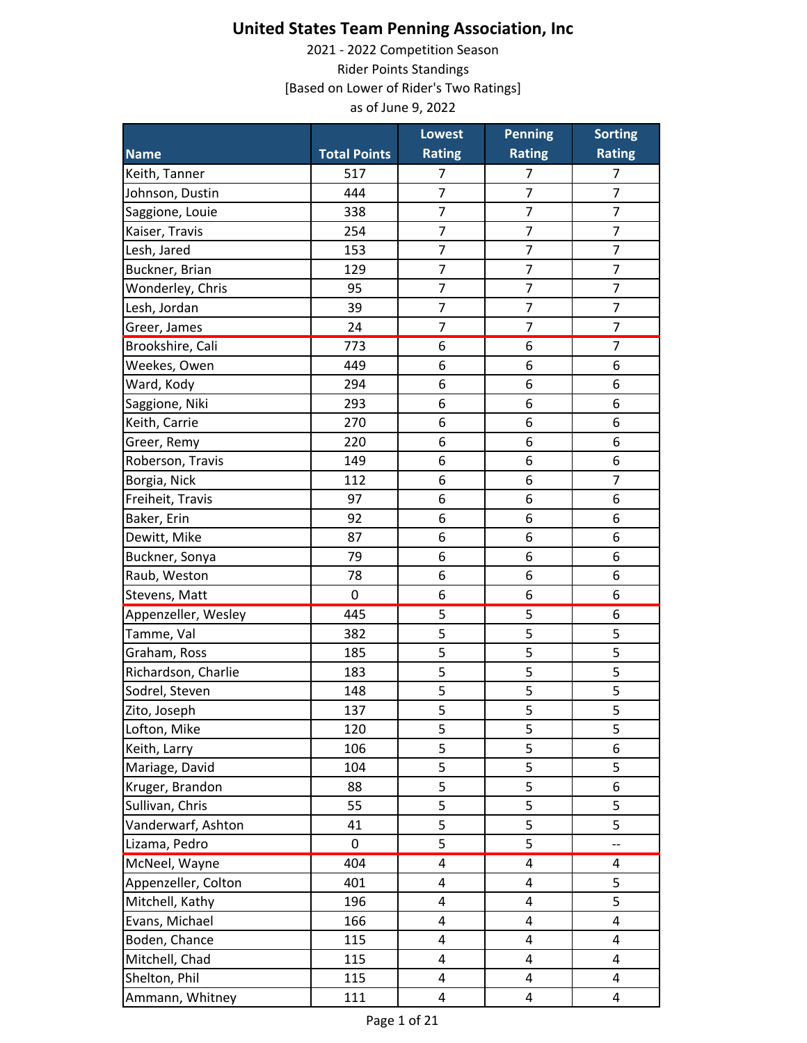|                     |                     | <b>Lowest</b>  | <b>Penning</b> | <b>Sorting</b>           |
|---------------------|---------------------|----------------|----------------|--------------------------|
| <b>Name</b>         | <b>Total Points</b> | <b>Rating</b>  | <b>Rating</b>  | <b>Rating</b>            |
| Keith, Tanner       | 517                 | 7              | 7              | $\overline{7}$           |
| Johnson, Dustin     | 444                 | 7              | 7              | $\overline{7}$           |
| Saggione, Louie     | 338                 | $\overline{7}$ | $\overline{7}$ | $\overline{7}$           |
| Kaiser, Travis      | 254                 | $\overline{7}$ | $\overline{7}$ | $\overline{7}$           |
| Lesh, Jared         | 153                 | 7              | $\overline{7}$ | $\overline{7}$           |
| Buckner, Brian      | 129                 | $\overline{7}$ | $\overline{7}$ | $\overline{7}$           |
| Wonderley, Chris    | 95                  | $\overline{7}$ | $\overline{7}$ | $\overline{7}$           |
| Lesh, Jordan        | 39                  | $\overline{7}$ | $\overline{7}$ | $\overline{7}$           |
| Greer, James        | 24                  | $\overline{7}$ | $\overline{7}$ | $\overline{7}$           |
| Brookshire, Cali    | 773                 | 6              | 6              | $\overline{7}$           |
| Weekes, Owen        | 449                 | 6              | 6              | 6                        |
| Ward, Kody          | 294                 | 6              | 6              | 6                        |
| Saggione, Niki      | 293                 | 6              | 6              | 6                        |
| Keith, Carrie       | 270                 | 6              | 6              | 6                        |
| Greer, Remy         | 220                 | 6              | 6              | 6                        |
| Roberson, Travis    | 149                 | 6              | 6              | 6                        |
| Borgia, Nick        | 112                 | 6              | 6              | $\overline{7}$           |
| Freiheit, Travis    | 97                  | 6              | 6              | 6                        |
| Baker, Erin         | 92                  | 6              | 6              | 6                        |
| Dewitt, Mike        | 87                  | 6              | 6              | 6                        |
| Buckner, Sonya      | 79                  | 6              | 6              | 6                        |
| Raub, Weston        | 78                  | 6              | 6              | 6                        |
| Stevens, Matt       | 0                   | 6              | 6              | 6                        |
| Appenzeller, Wesley | 445                 | 5              | 5              | 6                        |
| Tamme, Val          | 382                 | 5              | 5              | 5                        |
| Graham, Ross        | 185                 | 5              | 5              | 5                        |
| Richardson, Charlie | 183                 | 5              | 5              | 5                        |
| Sodrel, Steven      | 148                 | 5              | 5              | 5                        |
| Zito, Joseph        | 137                 | 5              | 5              | 5                        |
| Lofton, Mike        | 120                 | 5              | 5              | 5                        |
| Keith, Larry        | 106                 | 5              | 5              | 6                        |
| Mariage, David      | 104                 | $\overline{5}$ | 5              | 5                        |
| Kruger, Brandon     | 88                  | 5              | 5              | 6                        |
| Sullivan, Chris     | 55                  | 5              | 5              | 5                        |
| Vanderwarf, Ashton  | 41                  | 5              | 5              | 5                        |
| Lizama, Pedro       | 0                   | 5              | 5              | $\overline{\phantom{a}}$ |
| McNeel, Wayne       | 404                 | 4              | $\pmb{4}$      | $\sqrt{4}$               |
| Appenzeller, Colton | 401                 | 4              | 4              | 5                        |
| Mitchell, Kathy     | 196                 | 4              | 4              | 5                        |
| Evans, Michael      | 166                 | 4              | 4              | 4                        |
| Boden, Chance       | 115                 | 4              | 4              | $\overline{\mathbf{4}}$  |
| Mitchell, Chad      | 115                 | 4              | 4              | $\overline{4}$           |
| Shelton, Phil       | 115                 | 4              | 4              | 4                        |
| Ammann, Whitney     | 111                 | 4              | 4              | $\overline{4}$           |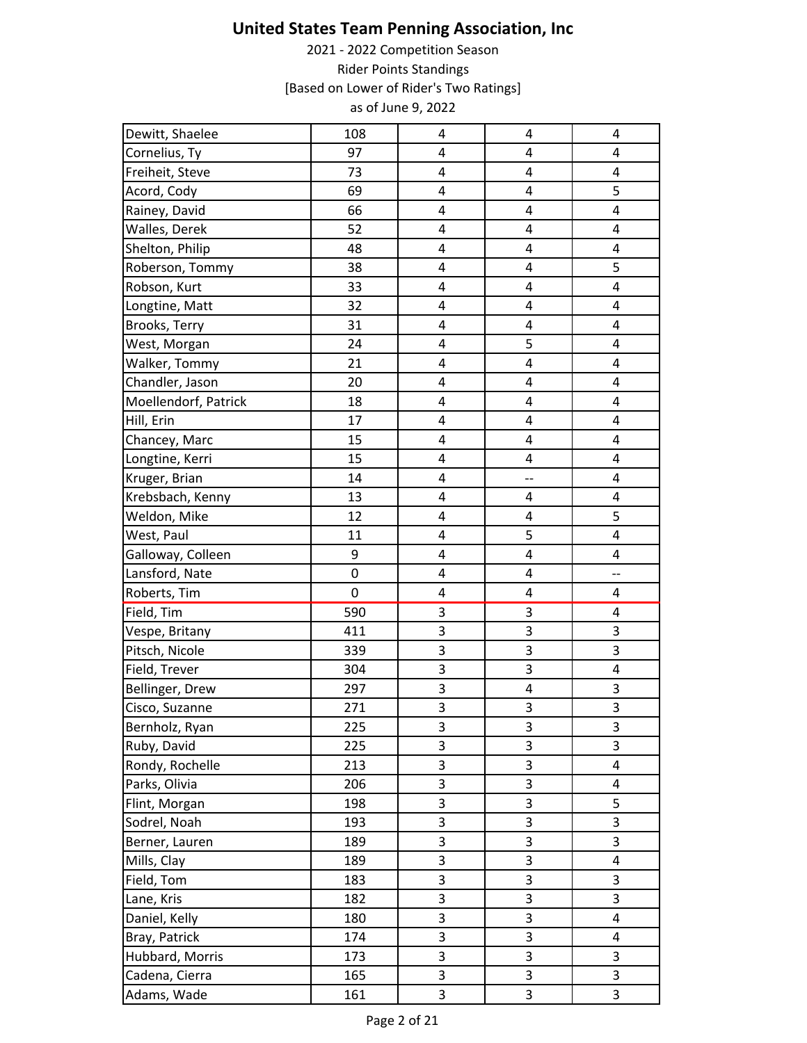| Dewitt, Shaelee      | 108 | 4                       | 4                       | 4                       |
|----------------------|-----|-------------------------|-------------------------|-------------------------|
| Cornelius, Ty        | 97  | 4                       | 4                       | 4                       |
| Freiheit, Steve      | 73  | 4                       | 4                       | 4                       |
| Acord, Cody          | 69  | 4                       | $\overline{\mathbf{4}}$ | 5                       |
| Rainey, David        | 66  | $\overline{\mathbf{4}}$ | $\overline{\mathbf{4}}$ | 4                       |
| Walles, Derek        | 52  | $\overline{\mathbf{4}}$ | $\overline{\mathbf{4}}$ | 4                       |
| Shelton, Philip      | 48  | 4                       | 4                       | 4                       |
| Roberson, Tommy      | 38  | 4                       | 4                       | 5                       |
| Robson, Kurt         | 33  | 4                       | 4                       | $\overline{4}$          |
| Longtine, Matt       | 32  | 4                       | 4                       | 4                       |
| Brooks, Terry        | 31  | 4                       | 4                       | 4                       |
| West, Morgan         | 24  | 4                       | 5                       | 4                       |
| Walker, Tommy        | 21  | $\overline{\mathbf{4}}$ | $\overline{\mathbf{4}}$ | 4                       |
| Chandler, Jason      | 20  | 4                       | $\overline{\mathbf{4}}$ | 4                       |
| Moellendorf, Patrick | 18  | 4                       | 4                       | 4                       |
| Hill, Erin           | 17  | 4                       | 4                       | 4                       |
| Chancey, Marc        | 15  | 4                       | 4                       | 4                       |
| Longtine, Kerri      | 15  | $\pmb{4}$               | $\pmb{4}$               | 4                       |
| Kruger, Brian        | 14  | $\overline{\mathbf{4}}$ | --                      | $\overline{\mathbf{4}}$ |
| Krebsbach, Kenny     | 13  | $\overline{\mathbf{4}}$ | 4                       | $\pmb{4}$               |
| Weldon, Mike         | 12  | 4                       | 4                       | 5                       |
| West, Paul           | 11  | 4                       | 5                       | 4                       |
| Galloway, Colleen    | 9   | 4                       | $\pmb{4}$               | $\overline{4}$          |
| Lansford, Nate       | 0   | $\overline{\mathbf{4}}$ | $\overline{\mathbf{4}}$ | --                      |
| Roberts, Tim         | 0   | 4                       | $\pmb{4}$               | 4                       |
| Field, Tim           | 590 | 3                       | 3                       | $\overline{\mathbf{4}}$ |
| Vespe, Britany       | 411 | 3                       | 3                       | 3                       |
| Pitsch, Nicole       | 339 | 3                       | 3                       | $\mathsf 3$             |
| Field, Trever        | 304 | 3                       | 3                       | 4                       |
| Bellinger, Drew      | 297 | $\overline{3}$          | 4                       | 3                       |
| Cisco, Suzanne       | 271 | 3                       | 3                       | 3                       |
| Bernholz, Ryan       | 225 | 3                       | 3                       | 3                       |
| Ruby, David          | 225 | 3                       | 3                       | 3                       |
| Rondy, Rochelle      | 213 | 3                       | 3                       | 4                       |
| Parks, Olivia        | 206 | 3                       | 3                       | 4                       |
| Flint, Morgan        | 198 | 3                       | 3                       | 5                       |
| Sodrel, Noah         | 193 | 3                       | 3                       | 3                       |
| Berner, Lauren       | 189 | 3                       | 3                       | 3                       |
| Mills, Clay          | 189 | 3                       | 3                       | 4                       |
| Field, Tom           | 183 | 3                       | 3                       | 3                       |
| Lane, Kris           | 182 | 3                       | 3                       | 3                       |
| Daniel, Kelly        | 180 | 3                       | 3                       | 4                       |
| Bray, Patrick        | 174 | 3                       | 3                       | 4                       |
| Hubbard, Morris      | 173 | 3                       | 3                       | 3                       |
| Cadena, Cierra       | 165 | 3                       | 3                       | $\mathsf 3$             |
| Adams, Wade          | 161 | 3                       | 3                       | 3                       |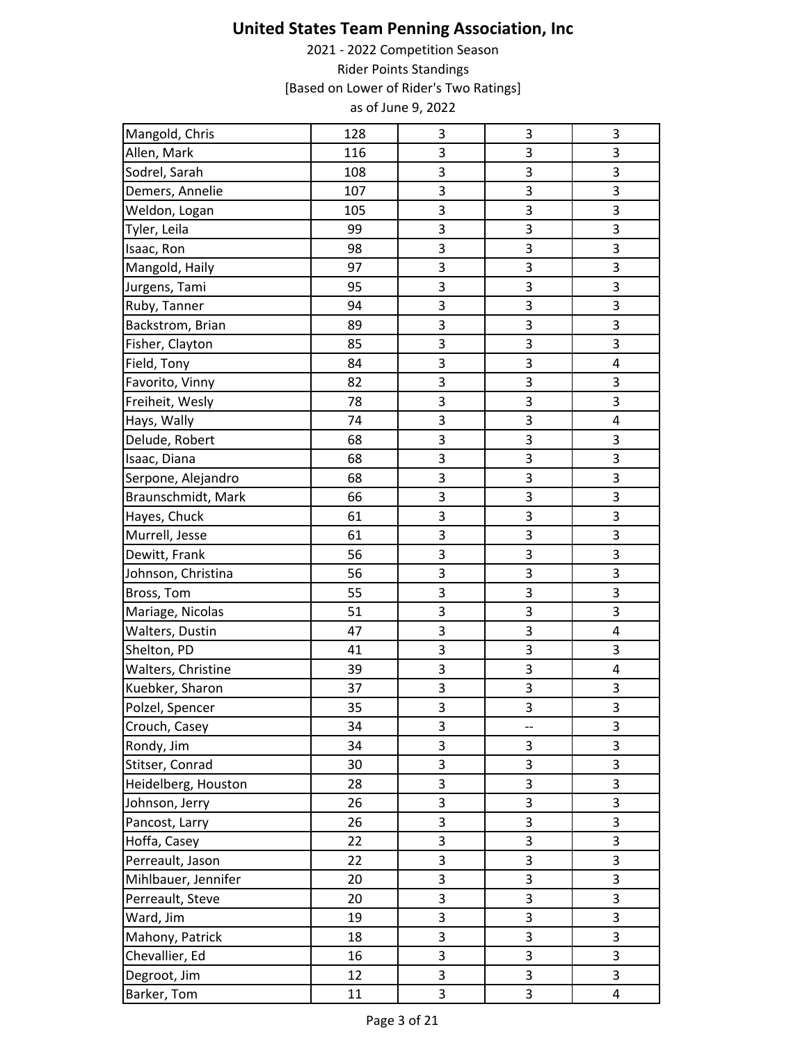| Mangold, Chris      | 128 | 3            | 3  | 3                       |
|---------------------|-----|--------------|----|-------------------------|
| Allen, Mark         | 116 | 3            | 3  | 3                       |
| Sodrel, Sarah       | 108 | 3            | 3  | 3                       |
| Demers, Annelie     | 107 | 3            | 3  | 3                       |
| Weldon, Logan       | 105 | 3            | 3  | 3                       |
| Tyler, Leila        | 99  | 3            | 3  | $\overline{\mathbf{3}}$ |
| Isaac, Ron          | 98  | 3            | 3  | 3                       |
| Mangold, Haily      | 97  | 3            | 3  | 3                       |
| Jurgens, Tami       | 95  | $\mathsf{3}$ | 3  | $\mathsf 3$             |
| Ruby, Tanner        | 94  | 3            | 3  | 3                       |
| Backstrom, Brian    | 89  | 3            | 3  | 3                       |
| Fisher, Clayton     | 85  | 3            | 3  | 3                       |
| Field, Tony         | 84  | $\mathsf 3$  | 3  | 4                       |
| Favorito, Vinny     | 82  | 3            | 3  | 3                       |
| Freiheit, Wesly     | 78  | 3            | 3  | 3                       |
| Hays, Wally         | 74  | 3            | 3  | 4                       |
| Delude, Robert      | 68  | 3            | 3  | 3                       |
| Isaac, Diana        | 68  | 3            | 3  | 3                       |
| Serpone, Alejandro  | 68  | 3            | 3  | 3                       |
| Braunschmidt, Mark  | 66  | 3            | 3  | 3                       |
| Hayes, Chuck        | 61  | $\mathsf{3}$ | 3  | $\mathsf 3$             |
| Murrell, Jesse      | 61  | 3            | 3  | $\mathsf 3$             |
| Dewitt, Frank       | 56  | 3            | 3  | 3                       |
| Johnson, Christina  | 56  | 3            | 3  | 3                       |
| Bross, Tom          | 55  | 3            | 3  | 3                       |
| Mariage, Nicolas    | 51  | 3            | 3  | 3                       |
| Walters, Dustin     | 47  | 3            | 3  | 4                       |
| Shelton, PD         | 41  | $\mathsf{3}$ | 3  | 3                       |
| Walters, Christine  | 39  | 3            | 3  | 4                       |
| Kuebker, Sharon     | 37  | 3            | 3  | $\mathsf 3$             |
| Polzel, Spencer     | 35  | 3            | 3  | 3                       |
| Crouch, Casey       | 34  | 3            | -- | $\mathsf 3$             |
| Rondy, Jim          | 34  | 3            | 3  | 3                       |
| Stitser, Conrad     | 30  | 3            | 3  | 3                       |
| Heidelberg, Houston | 28  | 3            | 3  | 3                       |
| Johnson, Jerry      | 26  | 3            | 3  | 3                       |
| Pancost, Larry      | 26  | 3            | 3  | 3                       |
| Hoffa, Casey        | 22  | 3            | 3  | 3                       |
| Perreault, Jason    | 22  | 3            | 3  | $\overline{\mathbf{3}}$ |
| Mihlbauer, Jennifer | 20  | 3            | 3  | 3                       |
| Perreault, Steve    | 20  | 3            | 3  | 3                       |
| Ward, Jim           | 19  | 3            | 3  | 3                       |
| Mahony, Patrick     | 18  | 3            | 3  | $\mathsf 3$             |
| Chevallier, Ed      | 16  | 3            | 3  | 3                       |
| Degroot, Jim        | 12  | 3            | 3  | 3                       |
| Barker, Tom         | 11  | 3            | 3  | 4                       |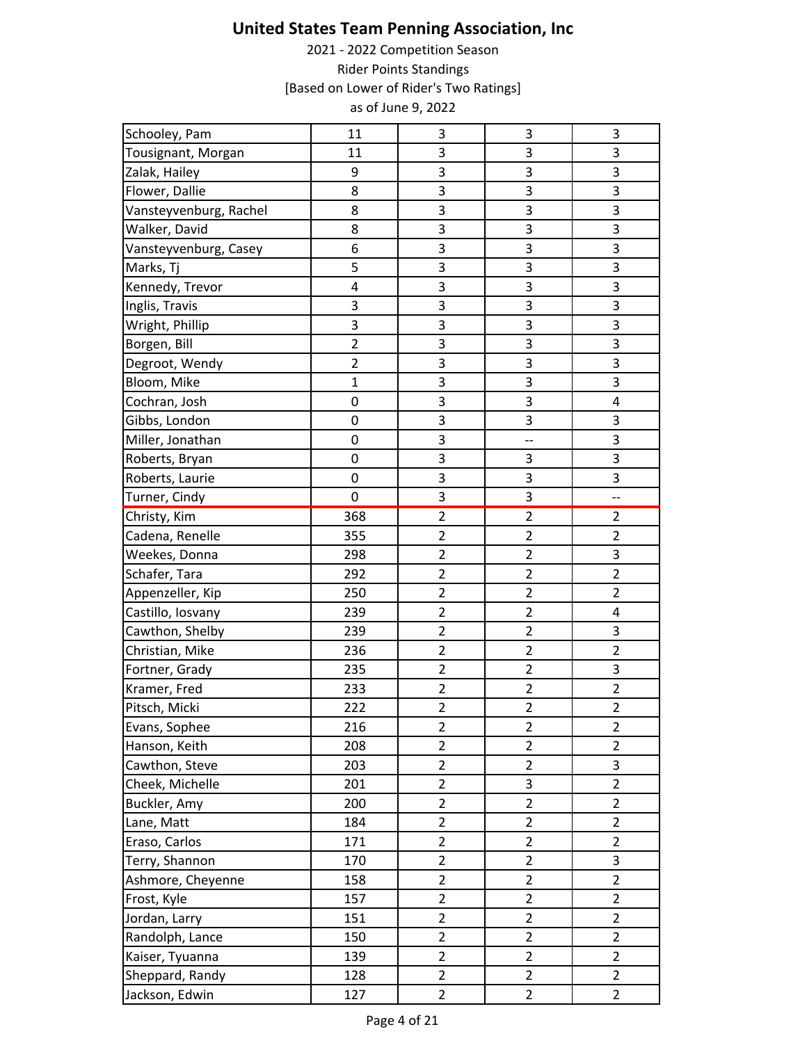| Schooley, Pam          | 11                      | 3                       | $\ensuremath{\mathsf{3}}$ | 3                       |
|------------------------|-------------------------|-------------------------|---------------------------|-------------------------|
| Tousignant, Morgan     | 11                      | 3                       | 3                         | 3                       |
| Zalak, Hailey          | 9                       | 3                       | 3                         | 3                       |
| Flower, Dallie         | 8                       | 3                       | 3                         | 3                       |
| Vansteyvenburg, Rachel | 8                       | 3                       | 3                         | 3                       |
| Walker, David          | 8                       | 3                       | 3                         | 3                       |
| Vansteyvenburg, Casey  | 6                       | 3                       | 3                         | 3                       |
| Marks, Tj              | 5                       | 3                       | 3                         | 3                       |
| Kennedy, Trevor        | $\overline{\mathbf{4}}$ | 3                       | 3                         | 3                       |
| Inglis, Travis         | 3                       | 3                       | 3                         | 3                       |
| Wright, Phillip        | 3                       | 3                       | 3                         | 3                       |
| Borgen, Bill           | $\overline{2}$          | 3                       | 3                         | 3                       |
| Degroot, Wendy         | $\overline{2}$          | 3                       | 3                         | 3                       |
| Bloom, Mike            | $\overline{1}$          | 3                       | 3                         | 3                       |
| Cochran, Josh          | $\mathbf 0$             | 3                       | 3                         | 4                       |
| Gibbs, London          | 0                       | 3                       | 3                         | 3                       |
| Miller, Jonathan       | $\pmb{0}$               | 3                       | --                        | 3                       |
| Roberts, Bryan         | 0                       | 3                       | 3                         | 3                       |
| Roberts, Laurie        | 0                       | 3                       | 3                         | 3                       |
| Turner, Cindy          | 0                       | 3                       | 3                         | --                      |
| Christy, Kim           | 368                     | $\overline{2}$          | $\overline{2}$            | $\overline{2}$          |
| Cadena, Renelle        | 355                     | $\overline{c}$          | $\overline{c}$            | $\overline{2}$          |
| Weekes, Donna          | 298                     | $\overline{2}$          | $\overline{2}$            | 3                       |
| Schafer, Tara          | 292                     | $\overline{2}$          | $\overline{2}$            | $\overline{2}$          |
| Appenzeller, Kip       | 250                     | $\overline{2}$          | $\overline{2}$            | $\overline{2}$          |
| Castillo, Iosvany      | 239                     | $\overline{2}$          | $\overline{2}$            | 4                       |
| Cawthon, Shelby        | 239                     | $\overline{c}$          | $\overline{2}$            | 3                       |
| Christian, Mike        | 236                     | $\overline{2}$          | $\overline{2}$            | $\overline{2}$          |
| Fortner, Grady         | 235                     | $\overline{2}$          | $\overline{2}$            | 3                       |
| Kramer, Fred           | 233                     | $\overline{\mathbf{c}}$ | $\mathbf 2$               | $\overline{\mathbf{c}}$ |
| Pitsch, Micki          | 222                     | $\overline{2}$          | $\overline{2}$            | $\overline{2}$          |
| Evans, Sophee          | 216                     | $\overline{2}$          | $\overline{2}$            | $\overline{2}$          |
| Hanson, Keith          | 208                     | $\overline{2}$          | $\overline{2}$            | $\overline{2}$          |
| Cawthon, Steve         | 203                     | $\overline{2}$          | $\overline{2}$            | 3                       |
| Cheek, Michelle        | 201                     | $\overline{2}$          | 3                         | $\overline{2}$          |
| Buckler, Amy           | 200                     | $\overline{2}$          | $\overline{2}$            | $\overline{2}$          |
| Lane, Matt             | 184                     | $\overline{2}$          | $\overline{2}$            | $\overline{2}$          |
| Eraso, Carlos          | 171                     | $\overline{2}$          | $\overline{2}$            | $\overline{2}$          |
| Terry, Shannon         | 170                     | $\overline{2}$          | $\overline{2}$            | 3                       |
| Ashmore, Cheyenne      | 158                     | $\overline{2}$          | $\overline{2}$            | $\overline{2}$          |
| Frost, Kyle            | 157                     | $\overline{2}$          | $\overline{2}$            | $\overline{2}$          |
| Jordan, Larry          | 151                     | $\overline{2}$          | $\overline{2}$            | $\overline{2}$          |
| Randolph, Lance        | 150                     | $\overline{2}$          | $\overline{2}$            | $\overline{2}$          |
| Kaiser, Tyuanna        | 139                     | $\overline{2}$          | $\overline{2}$            | $\overline{2}$          |
| Sheppard, Randy        | 128                     | $\overline{2}$          | $\overline{2}$            | $\overline{2}$          |
| Jackson, Edwin         | 127                     | $\overline{2}$          | $\overline{2}$            | $\overline{2}$          |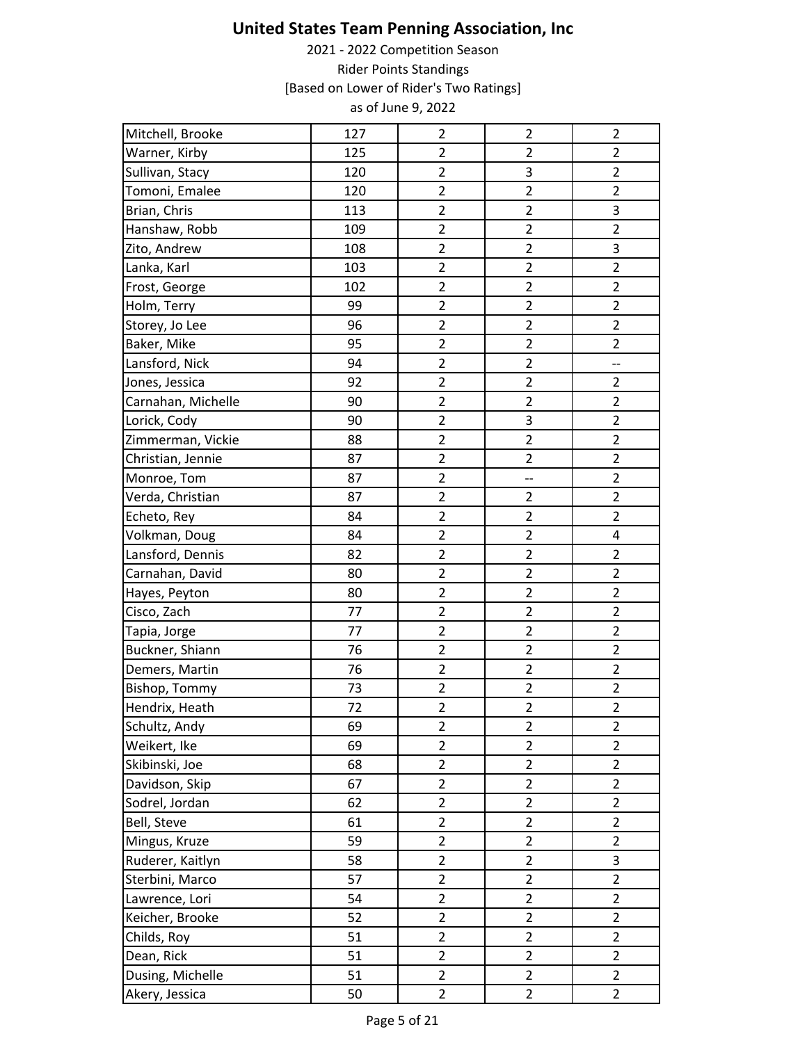| Mitchell, Brooke   | 127 | $\overline{c}$          | $\overline{2}$           | $\overline{2}$ |
|--------------------|-----|-------------------------|--------------------------|----------------|
| Warner, Kirby      | 125 | $\overline{2}$          | $\overline{2}$           | $\overline{2}$ |
| Sullivan, Stacy    | 120 | $\overline{\mathbf{c}}$ | 3                        | $\overline{2}$ |
| Tomoni, Emalee     | 120 | $\overline{2}$          | $\overline{\mathbf{c}}$  | $\overline{2}$ |
| Brian, Chris       | 113 | $\overline{2}$          | $\overline{2}$           | 3              |
| Hanshaw, Robb      | 109 | $\overline{2}$          | $\overline{2}$           | $\overline{2}$ |
| Zito, Andrew       | 108 | $\overline{2}$          | $\overline{2}$           | 3              |
| Lanka, Karl        | 103 | $\overline{c}$          | $\overline{2}$           | $\overline{2}$ |
| Frost, George      | 102 | $\overline{2}$          | $\overline{2}$           | $\overline{2}$ |
| Holm, Terry        | 99  | $\overline{2}$          | $\overline{2}$           | $\overline{2}$ |
| Storey, Jo Lee     | 96  | $\overline{2}$          | $\overline{2}$           | $\overline{2}$ |
| Baker, Mike        | 95  | $\overline{2}$          | $\overline{c}$           | $\overline{2}$ |
| Lansford, Nick     | 94  | $\overline{2}$          | $\overline{2}$           | $\overline{a}$ |
| Jones, Jessica     | 92  | $\overline{2}$          | $\overline{2}$           | $\overline{2}$ |
| Carnahan, Michelle | 90  | $\overline{c}$          | $\overline{c}$           | $\overline{2}$ |
| Lorick, Cody       | 90  | $\overline{2}$          | 3                        | $\overline{2}$ |
| Zimmerman, Vickie  | 88  | $\overline{2}$          | $\overline{c}$           | $\overline{2}$ |
| Christian, Jennie  | 87  | $\overline{2}$          | $\overline{2}$           | $\overline{2}$ |
| Monroe, Tom        | 87  | $\overline{2}$          | $\overline{\phantom{a}}$ | $\overline{2}$ |
| Verda, Christian   | 87  | $\overline{c}$          | $\overline{2}$           | $\overline{2}$ |
| Echeto, Rey        | 84  | $\overline{2}$          | $\overline{2}$           | $\overline{2}$ |
| Volkman, Doug      | 84  | $\overline{2}$          | $\overline{2}$           | 4              |
| Lansford, Dennis   | 82  | $\overline{2}$          | $\overline{c}$           | $\overline{2}$ |
| Carnahan, David    | 80  | $\overline{2}$          | $\overline{2}$           | $\overline{2}$ |
| Hayes, Peyton      | 80  | $\overline{c}$          | $\overline{2}$           | $\overline{2}$ |
| Cisco, Zach        | 77  | $\overline{2}$          | $\overline{2}$           | $\overline{2}$ |
| Tapia, Jorge       | 77  | $\overline{c}$          | $\overline{2}$           | $\overline{2}$ |
| Buckner, Shiann    | 76  | $\overline{2}$          | $\overline{2}$           | $\overline{2}$ |
| Demers, Martin     | 76  | $\overline{c}$          | $\overline{c}$           | $\overline{2}$ |
| Bishop, Tommy      | 73  | $\overline{c}$          | $\overline{c}$           | $\overline{2}$ |
| Hendrix, Heath     | 72  | $\overline{2}$          | $\overline{2}$           | $\overline{2}$ |
| Schultz, Andy      | 69  | $\overline{2}$          | $\overline{2}$           | $\overline{2}$ |
| Weikert, Ike       | 69  | $\overline{2}$          | $\overline{2}$           | $\overline{2}$ |
| Skibinski, Joe     | 68  | $\overline{2}$          | $\overline{\mathbf{c}}$  | $\overline{2}$ |
| Davidson, Skip     | 67  | $\overline{2}$          | $\overline{2}$           | $\overline{2}$ |
| Sodrel, Jordan     | 62  | $\overline{2}$          | $\overline{2}$           | $\overline{2}$ |
| Bell, Steve        | 61  | $\overline{2}$          | $\overline{2}$           | $\overline{2}$ |
| Mingus, Kruze      | 59  | $\overline{2}$          | $\overline{a}$           | $\overline{2}$ |
| Ruderer, Kaitlyn   | 58  | $\overline{2}$          | $\overline{2}$           | 3              |
| Sterbini, Marco    | 57  | $\overline{2}$          | $\overline{2}$           | $\overline{2}$ |
| Lawrence, Lori     | 54  | $\overline{2}$          | $\overline{2}$           | $\overline{2}$ |
| Keicher, Brooke    | 52  | $\overline{2}$          | $\overline{2}$           | $\overline{2}$ |
| Childs, Roy        | 51  | $\overline{2}$          | $\overline{2}$           | $\overline{2}$ |
| Dean, Rick         | 51  | $\overline{2}$          | $\overline{2}$           | $\overline{2}$ |
| Dusing, Michelle   | 51  | $\overline{2}$          | $\overline{2}$           | $\overline{2}$ |
| Akery, Jessica     | 50  | $\overline{2}$          | $\overline{2}$           | $\overline{2}$ |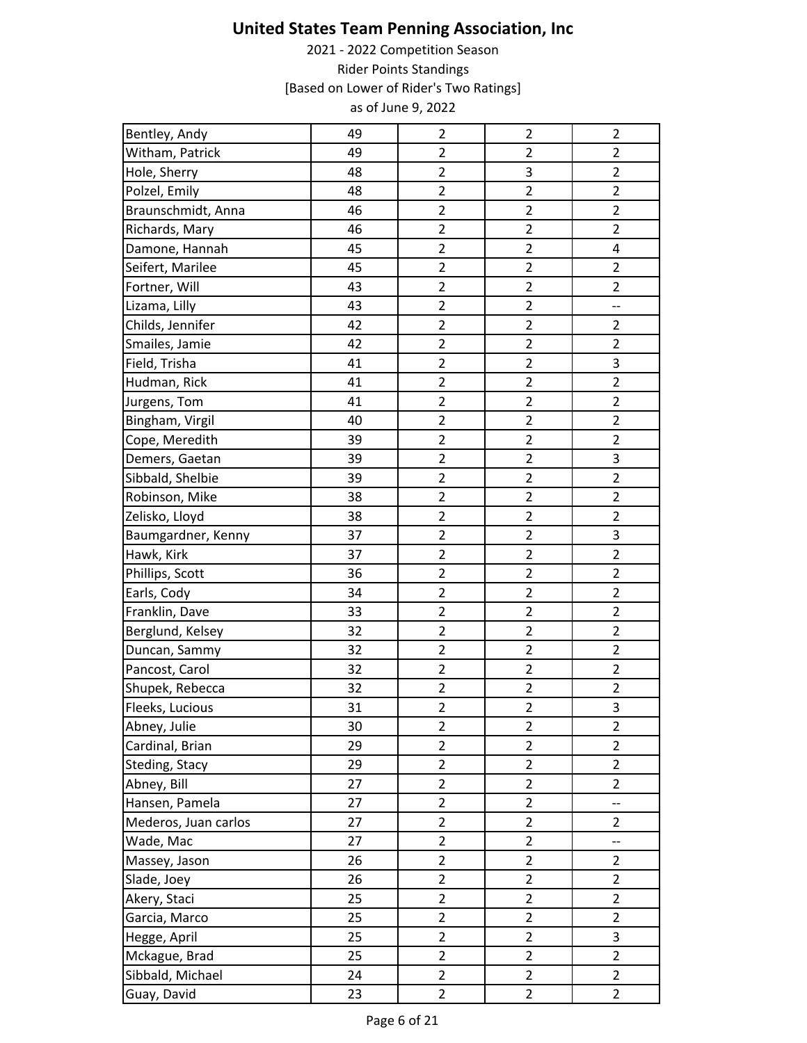| Bentley, Andy        | 49 | $\mathbf 2$    | $\overline{2}$            | $\overline{2}$ |
|----------------------|----|----------------|---------------------------|----------------|
| Witham, Patrick      | 49 | $\overline{2}$ | $\overline{2}$            | $\overline{2}$ |
| Hole, Sherry         | 48 | $\overline{2}$ | $\ensuremath{\mathsf{3}}$ | $\overline{2}$ |
| Polzel, Emily        | 48 | $\overline{2}$ | $\overline{2}$            | $\overline{2}$ |
| Braunschmidt, Anna   | 46 | $\overline{2}$ | $\overline{2}$            | $\overline{2}$ |
| Richards, Mary       | 46 | $\mathbf 2$    | $\mathbf 2$               | $\overline{2}$ |
| Damone, Hannah       | 45 | $\overline{2}$ | $\overline{2}$            | 4              |
| Seifert, Marilee     | 45 | $\overline{2}$ | $\overline{2}$            | $\overline{2}$ |
| Fortner, Will        | 43 | $\overline{2}$ | $\overline{2}$            | $\overline{2}$ |
| Lizama, Lilly        | 43 | $\overline{2}$ | $\overline{2}$            | --             |
| Childs, Jennifer     | 42 | $\overline{2}$ | $\overline{2}$            | $\overline{2}$ |
| Smailes, Jamie       | 42 | $\overline{2}$ | $\overline{2}$            | $\overline{2}$ |
| Field, Trisha        | 41 | $\overline{2}$ | $\overline{2}$            | 3              |
| Hudman, Rick         | 41 | $\overline{2}$ | $\overline{2}$            | $\overline{2}$ |
| Jurgens, Tom         | 41 | $\overline{2}$ | $\overline{2}$            | $\overline{2}$ |
| Bingham, Virgil      | 40 | $\overline{2}$ | $\overline{2}$            | $\overline{c}$ |
| Cope, Meredith       | 39 | $\overline{2}$ | $\overline{2}$            | $\overline{2}$ |
| Demers, Gaetan       | 39 | $\overline{2}$ | $\overline{2}$            | 3              |
| Sibbald, Shelbie     | 39 | $\overline{2}$ | $\overline{2}$            | $\overline{2}$ |
| Robinson, Mike       | 38 | $\overline{2}$ | $\mathbf 2$               | $\overline{2}$ |
| Zelisko, Lloyd       | 38 | $\overline{2}$ | $\overline{2}$            | $\overline{2}$ |
| Baumgardner, Kenny   | 37 | $\overline{2}$ | $\overline{2}$            | 3              |
| Hawk, Kirk           | 37 | $\overline{2}$ | $\overline{2}$            | $\overline{2}$ |
| Phillips, Scott      | 36 | $\overline{2}$ | $\overline{2}$            | $\overline{2}$ |
| Earls, Cody          | 34 | $\overline{2}$ | $\overline{2}$            | $\overline{2}$ |
| Franklin, Dave       | 33 | $\overline{2}$ | $\overline{2}$            | $\overline{2}$ |
| Berglund, Kelsey     | 32 | $\overline{2}$ | $\overline{2}$            | $\overline{2}$ |
| Duncan, Sammy        | 32 | $\overline{2}$ | $\overline{2}$            | $\overline{2}$ |
| Pancost, Carol       | 32 | $\overline{2}$ | $\overline{2}$            | $\overline{2}$ |
| Shupek, Rebecca      | 32 | $\overline{2}$ | $\overline{2}$            | $\overline{2}$ |
| Fleeks, Lucious      | 31 | $\overline{2}$ | $\overline{2}$            | 3              |
| Abney, Julie         | 30 | $\overline{2}$ | 2                         | $\overline{c}$ |
| Cardinal, Brian      | 29 | $\overline{2}$ | $\overline{2}$            | $\overline{2}$ |
| Steding, Stacy       | 29 | $\overline{2}$ | $\overline{2}$            | $\overline{2}$ |
| Abney, Bill          | 27 | $\overline{2}$ | $\overline{2}$            | $\overline{2}$ |
| Hansen, Pamela       | 27 | $\overline{2}$ | $\overline{2}$            | --             |
| Mederos, Juan carlos | 27 | $\mathbf 2$    | $\mathbf 2$               | $\overline{2}$ |
| Wade, Mac            | 27 | $\overline{2}$ | $\overline{2}$            | --             |
| Massey, Jason        | 26 | $\mathbf 2$    | $\overline{2}$            | $\overline{2}$ |
| Slade, Joey          | 26 | $\overline{2}$ | $\overline{2}$            | $\overline{2}$ |
| Akery, Staci         | 25 | $\overline{2}$ | $\overline{2}$            | $\overline{2}$ |
| Garcia, Marco        | 25 | $\overline{2}$ | $\overline{2}$            | $\overline{2}$ |
| Hegge, April         | 25 | $\overline{2}$ | $\overline{2}$            | 3              |
| Mckague, Brad        | 25 | $\overline{2}$ | $\overline{2}$            | $\overline{2}$ |
| Sibbald, Michael     | 24 | $\overline{2}$ | $\overline{2}$            | $\overline{2}$ |
| Guay, David          | 23 | $\overline{2}$ | $\overline{2}$            | $\overline{2}$ |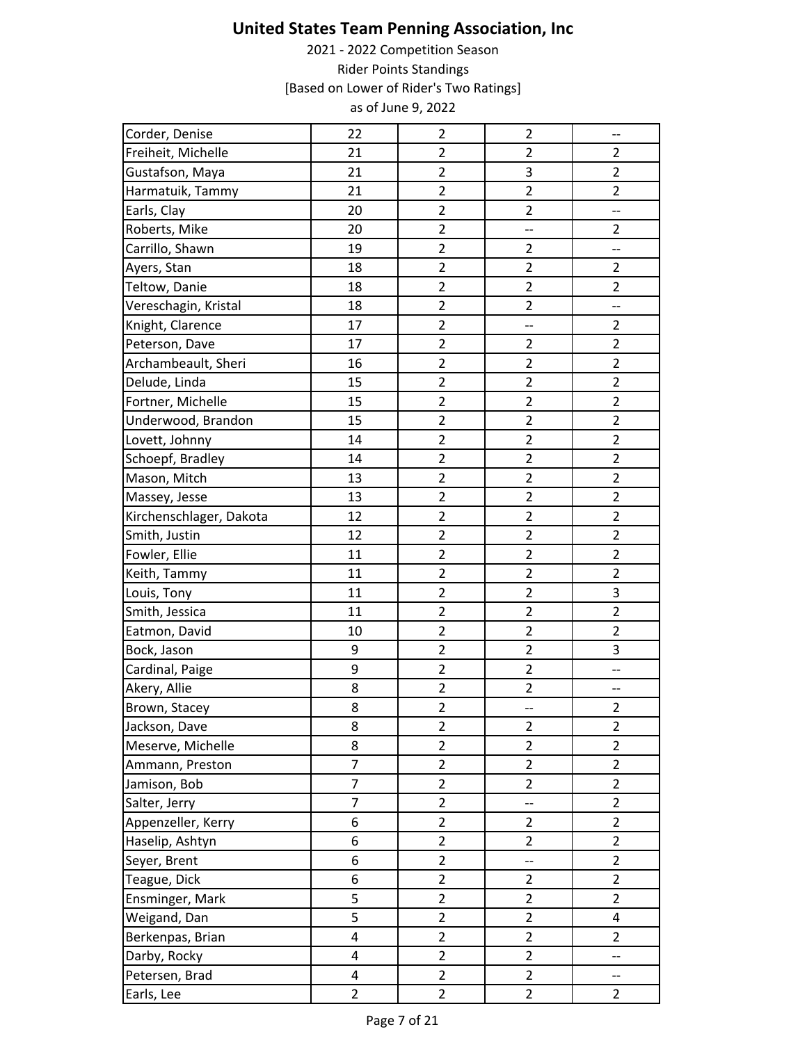| Corder, Denise          | 22                      | $\overline{\mathbf{c}}$ | $\overline{2}$           | --                       |
|-------------------------|-------------------------|-------------------------|--------------------------|--------------------------|
| Freiheit, Michelle      | 21                      | $\overline{2}$          | $\overline{2}$           | $\overline{2}$           |
| Gustafson, Maya         | 21                      | $\overline{\mathbf{c}}$ | 3                        | $\overline{2}$           |
| Harmatuik, Tammy        | 21                      | $\overline{2}$          | $\overline{2}$           | $\overline{2}$           |
| Earls, Clay             | 20                      | $\overline{2}$          | $\overline{2}$           | --                       |
| Roberts, Mike           | 20                      | $\overline{c}$          | --                       | $\overline{2}$           |
| Carrillo, Shawn         | 19                      | $\overline{2}$          | $\overline{2}$           | --                       |
| Ayers, Stan             | 18                      | $\overline{c}$          | $\overline{2}$           | $\overline{2}$           |
| Teltow, Danie           | 18                      | $\overline{c}$          | $\overline{2}$           | $\overline{2}$           |
| Vereschagin, Kristal    | 18                      | $\overline{2}$          | $\overline{2}$           | $\overline{a}$           |
| Knight, Clarence        | 17                      | $\overline{2}$          | --                       | $\overline{2}$           |
| Peterson, Dave          | 17                      | $\overline{c}$          | $\overline{2}$           | $\overline{2}$           |
| Archambeault, Sheri     | 16                      | $\overline{c}$          | $\overline{2}$           | $\overline{2}$           |
| Delude, Linda           | 15                      | $\overline{2}$          | $\overline{2}$           | $\overline{2}$           |
| Fortner, Michelle       | 15                      | $\overline{c}$          | $\overline{c}$           | $\overline{2}$           |
| Underwood, Brandon      | 15                      | $\overline{2}$          | $\overline{2}$           | $\overline{2}$           |
| Lovett, Johnny          | 14                      | $\overline{c}$          | $\mathbf 2$              | $\overline{c}$           |
| Schoepf, Bradley        | 14                      | $\overline{2}$          | $\overline{2}$           | $\overline{2}$           |
| Mason, Mitch            | 13                      | $\overline{2}$          | $\overline{2}$           | $\overline{2}$           |
| Massey, Jesse           | 13                      | $\overline{c}$          | $\overline{c}$           | $\overline{2}$           |
| Kirchenschlager, Dakota | 12                      | $\overline{c}$          | $\overline{2}$           | $\overline{2}$           |
| Smith, Justin           | 12                      | $\overline{2}$          | $\overline{2}$           | $\overline{2}$           |
| Fowler, Ellie           | 11                      | $\overline{c}$          | $\overline{2}$           | $\overline{2}$           |
| Keith, Tammy            | 11                      | $\overline{2}$          | $\overline{2}$           | $\overline{2}$           |
| Louis, Tony             | 11                      | $\overline{c}$          | $\overline{2}$           | 3                        |
| Smith, Jessica          | 11                      | $\overline{c}$          | $\overline{2}$           | $\overline{2}$           |
| Eatmon, David           | 10                      | $\overline{c}$          | $\overline{2}$           | $\overline{2}$           |
| Bock, Jason             | 9                       | $\overline{c}$          | $\overline{2}$           | 3                        |
| Cardinal, Paige         | 9                       | $\overline{c}$          | $\overline{2}$           | $\overline{\phantom{a}}$ |
| Akery, Allie            | 8                       | $\overline{c}$          | $\overline{\mathbf{c}}$  | --                       |
| Brown, Stacey           | 8                       | $\overline{2}$          | --                       | $\overline{2}$           |
| Jackson, Dave           | 8                       | $\overline{2}$          | $\overline{2}$           | $\overline{2}$           |
| Meserve, Michelle       | 8                       | $\overline{2}$          | $\overline{a}$           | $\overline{2}$           |
| Ammann, Preston         | 7                       | $\overline{c}$          | $\overline{2}$           | $\overline{2}$           |
| Jamison, Bob            | $\overline{7}$          | $\overline{2}$          | $\overline{2}$           | $\overline{2}$           |
| Salter, Jerry           | $\overline{7}$          | $\overline{2}$          | --                       | $\overline{2}$           |
| Appenzeller, Kerry      | 6                       | $\overline{2}$          | $\overline{2}$           | $\overline{2}$           |
| Haselip, Ashtyn         | 6                       | $\overline{2}$          | $\overline{2}$           | $\overline{2}$           |
| Seyer, Brent            | 6                       | $\overline{2}$          | $\overline{\phantom{a}}$ | $\overline{2}$           |
| Teague, Dick            | 6                       | $\overline{2}$          | $\overline{2}$           | $\overline{2}$           |
| Ensminger, Mark         | 5                       | $\overline{2}$          | $\overline{2}$           | $\overline{2}$           |
| Weigand, Dan            | 5                       | $\overline{2}$          | $\overline{2}$           | 4                        |
| Berkenpas, Brian        | 4                       | $\overline{2}$          | $\overline{2}$           | $\overline{2}$           |
| Darby, Rocky            | $\overline{\mathbf{4}}$ | $\overline{2}$          | $\overline{2}$           | $\overline{\phantom{a}}$ |
| Petersen, Brad          | $\overline{4}$          | $\overline{2}$          | $\overline{2}$           | --                       |
| Earls, Lee              | $\overline{2}$          | $\overline{2}$          | $\overline{2}$           | $\overline{2}$           |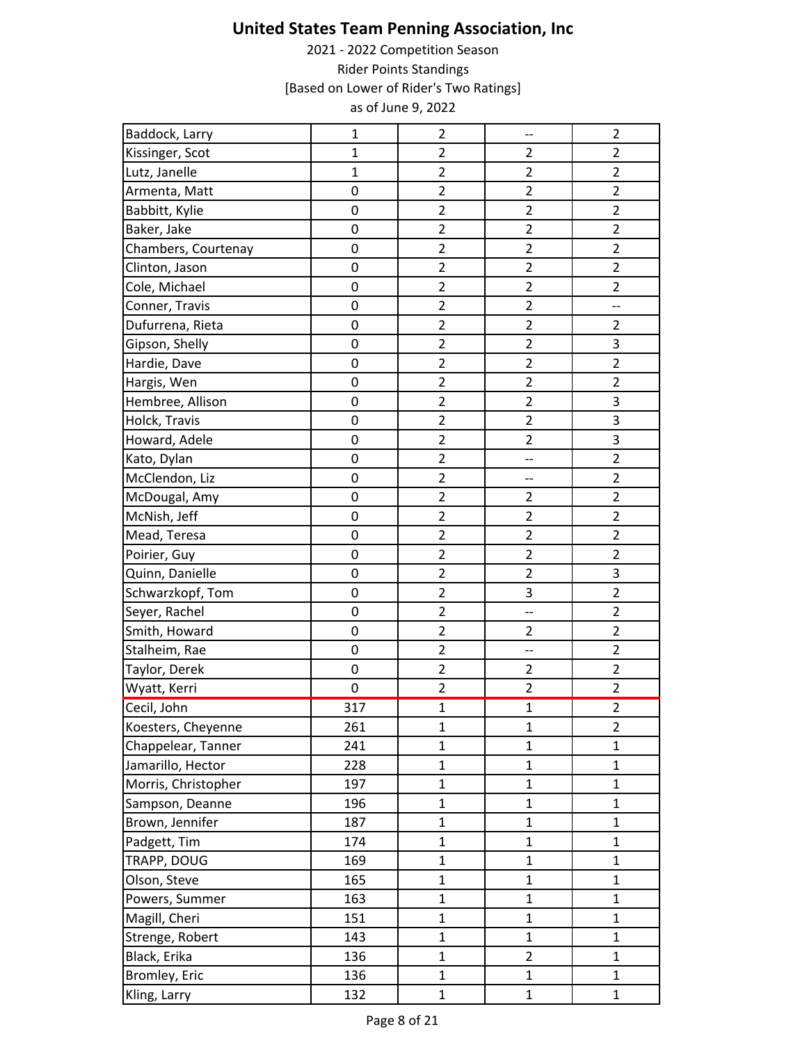| Baddock, Larry      | $\mathbf{1}$        | $\overline{2}$ | --                      | $\overline{2}$           |
|---------------------|---------------------|----------------|-------------------------|--------------------------|
| Kissinger, Scot     | $\mathbf{1}$        | $\overline{2}$ | $\overline{2}$          | $\overline{2}$           |
| Lutz, Janelle       | $\mathbf{1}$        | $\overline{2}$ | $\overline{2}$          | $\overline{2}$           |
| Armenta, Matt       | 0                   | $\overline{2}$ | $\overline{2}$          | $\overline{2}$           |
| Babbitt, Kylie      | 0                   | $\overline{2}$ | $\overline{2}$          | $\overline{2}$           |
| Baker, Jake         | 0                   | $\overline{2}$ | $\overline{2}$          | $\overline{2}$           |
| Chambers, Courtenay | 0                   | $\overline{2}$ | $\overline{2}$          | $\overline{2}$           |
| Clinton, Jason      | $\mathsf 0$         | $\overline{2}$ | $\overline{\mathbf{c}}$ | $\overline{2}$           |
| Cole, Michael       | 0                   | $\overline{2}$ | $\overline{2}$          | $\overline{2}$           |
| Conner, Travis      | 0                   | $\overline{2}$ | $\overline{2}$          | $\overline{\phantom{a}}$ |
| Dufurrena, Rieta    | 0                   | $\overline{2}$ | $\overline{2}$          | $\overline{2}$           |
| Gipson, Shelly      | 0                   | $\overline{2}$ | $\overline{2}$          | $\mathsf 3$              |
| Hardie, Dave        | $\mathsf{O}\xspace$ | $\mathbf 2$    | $\mathbf 2$             | $\overline{2}$           |
| Hargis, Wen         | 0                   | $\overline{2}$ | $\overline{2}$          | $\overline{2}$           |
| Hembree, Allison    | 0                   | $\overline{2}$ | $\overline{2}$          | $\mathsf 3$              |
| Holck, Travis       | 0                   | $\overline{2}$ | $\overline{2}$          | $\mathsf 3$              |
| Howard, Adele       | 0                   | $\overline{2}$ | $\overline{2}$          | 3                        |
| Kato, Dylan         | 0                   | $\overline{2}$ | --                      | $\overline{2}$           |
| McClendon, Liz      | 0                   | $\overline{2}$ | --                      | $\overline{2}$           |
| McDougal, Amy       | 0                   | $\overline{c}$ | $\overline{c}$          | $\overline{2}$           |
| McNish, Jeff        | 0                   | $\overline{2}$ | $\overline{2}$          | $\overline{2}$           |
| Mead, Teresa        | 0                   | $\overline{2}$ | $\overline{c}$          | $\overline{2}$           |
| Poirier, Guy        | 0                   | $\overline{2}$ | $\overline{2}$          | $\overline{2}$           |
| Quinn, Danielle     | 0                   | $\overline{2}$ | $\overline{2}$          | $\mathsf 3$              |
| Schwarzkopf, Tom    | 0                   | $\overline{2}$ | 3                       | $\overline{2}$           |
| Seyer, Rachel       | 0                   | $\overline{2}$ | --                      | $\overline{2}$           |
| Smith, Howard       | $\mathsf{O}\xspace$ | $\mathbf 2$    | $\overline{2}$          | $\overline{2}$           |
| Stalheim, Rae       | 0                   | $\overline{2}$ | --                      | $\overline{2}$           |
| Taylor, Derek       | 0                   | $\overline{2}$ | $\overline{2}$          | $\overline{2}$           |
| Wyatt, Kerri        | 0                   | $\overline{2}$ | $\overline{c}$          | $\overline{2}$           |
| Cecil, John         | 317                 | $\mathbf{1}$   | $\overline{1}$          | $\overline{2}$           |
| Koesters, Cheyenne  | 261                 | $\mathbf{1}$   | $\mathbf{1}$            | $\overline{2}$           |
| Chappelear, Tanner  | 241                 | $\mathbf{1}$   | $\mathbf{1}$            | $\mathbf{1}$             |
| Jamarillo, Hector   | 228                 | $\mathbf 1$    | $\mathbf{1}$            | $\mathbf 1$              |
| Morris, Christopher | 197                 | $\mathbf{1}$   | $\mathbf{1}$            | $\mathbf{1}$             |
| Sampson, Deanne     | 196                 | $\mathbf{1}$   | $\mathbf{1}$            | $\mathbf{1}$             |
| Brown, Jennifer     | 187                 | $\mathbf{1}$   | $\mathbf{1}$            | $\mathbf{1}$             |
| Padgett, Tim        | 174                 | $\mathbf{1}$   | $\mathbf{1}$            | $\mathbf{1}$             |
| TRAPP, DOUG         | 169                 | $\mathbf 1$    | $\mathbf 1$             | $\mathbf 1$              |
| Olson, Steve        | 165                 | $\mathbf{1}$   | $\mathbf{1}$            | $\mathbf{1}$             |
| Powers, Summer      | 163                 | $\mathbf{1}$   | $\mathbf{1}$            | $\mathbf{1}$             |
| Magill, Cheri       | 151                 | $\mathbf{1}$   | $\mathbf{1}$            | $\mathbf{1}$             |
| Strenge, Robert     | 143                 | $\mathbf{1}$   | $\mathbf{1}$            | $\mathbf{1}$             |
| Black, Erika        | 136                 | $\mathbf{1}$   | $\overline{2}$          | $\mathbf{1}$             |
| Bromley, Eric       | 136                 | $\mathbf{1}$   | $\mathbf{1}$            | $\mathbf{1}$             |
| Kling, Larry        | 132                 | $\mathbf{1}$   | $\mathbf{1}$            | $\mathbf{1}$             |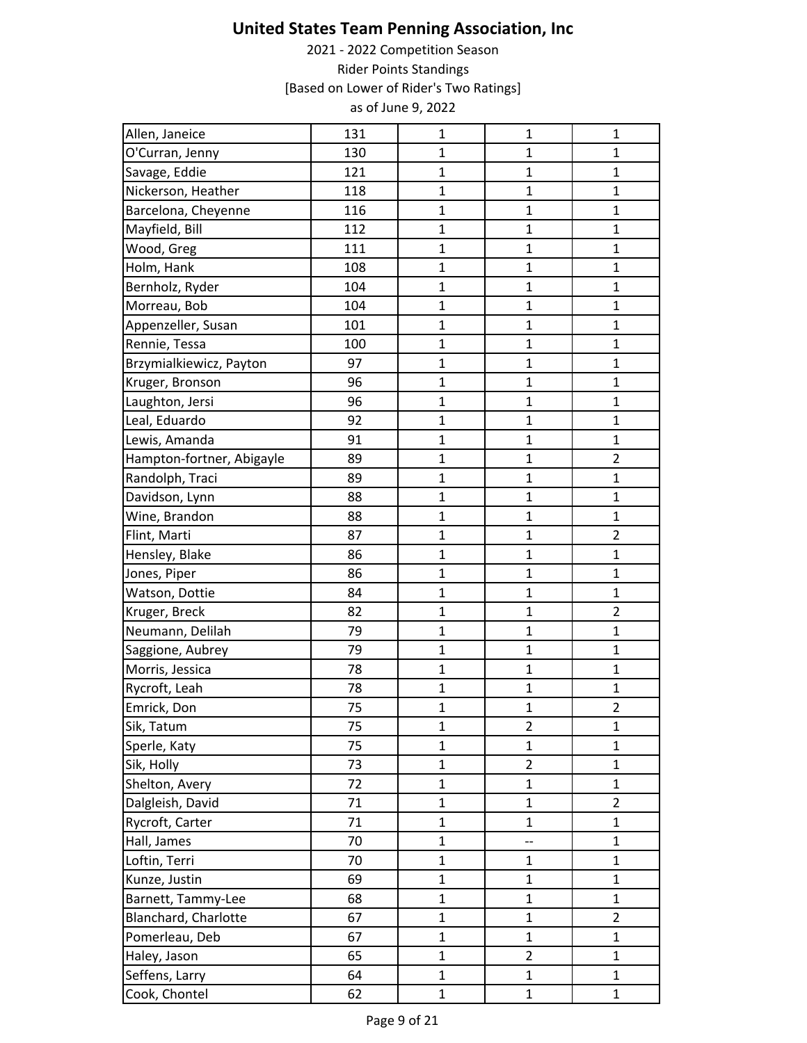| Allen, Janeice            | 131 | $\mathbf{1}$   | $\mathbf 1$    | $\mathbf 1$    |
|---------------------------|-----|----------------|----------------|----------------|
| O'Curran, Jenny           | 130 | $\mathbf{1}$   | $\mathbf{1}$   | $\mathbf{1}$   |
| Savage, Eddie             | 121 | $\mathbf 1$    | $\mathbf 1$    | $\mathbf{1}$   |
| Nickerson, Heather        | 118 | $\mathbf{1}$   | $\mathbf{1}$   | $\mathbf{1}$   |
| Barcelona, Cheyenne       | 116 | $\mathbf{1}$   | $\mathbf{1}$   | $\mathbf{1}$   |
| Mayfield, Bill            | 112 | $\mathbf{1}$   | $\mathbf{1}$   | $\mathbf{1}$   |
| Wood, Greg                | 111 | $\mathbf{1}$   | 1              | 1              |
| Holm, Hank                | 108 | $\mathbf{1}$   | $\mathbf{1}$   | $\mathbf{1}$   |
| Bernholz, Ryder           | 104 | $\mathbf{1}$   | $\mathbf{1}$   | $\mathbf{1}$   |
| Morreau, Bob              | 104 | $\mathbf{1}$   | $\mathbf{1}$   | $\mathbf{1}$   |
| Appenzeller, Susan        | 101 | $\mathbf{1}$   | $\mathbf{1}$   | $\mathbf{1}$   |
| Rennie, Tessa             | 100 | $\mathbf{1}$   | $\mathbf{1}$   | $\mathbf{1}$   |
| Brzymialkiewicz, Payton   | 97  | $\mathbf{1}$   | $\mathbf{1}$   | $\mathbf{1}$   |
| Kruger, Bronson           | 96  | $\mathbf{1}$   | $\mathbf{1}$   | $\mathbf{1}$   |
| Laughton, Jersi           | 96  | $\mathbf{1}$   | $\mathbf 1$    | $\mathbf{1}$   |
| Leal, Eduardo             | 92  | $\mathbf{1}$   | $\mathbf 1$    | $\mathbf{1}$   |
| Lewis, Amanda             | 91  | $\mathbf{1}$   | $\mathbf 1$    | $\mathbf 1$    |
| Hampton-fortner, Abigayle | 89  | $\mathbf{1}$   | $\mathbf{1}$   | $\overline{2}$ |
| Randolph, Traci           | 89  | $\mathbf{1}$   | $\mathbf{1}$   | $\mathbf{1}$   |
| Davidson, Lynn            | 88  | $\mathbf{1}$   | $\mathbf{1}$   | $\mathbf{1}$   |
| Wine, Brandon             | 88  | $\mathbf{1}$   | $\mathbf{1}$   | $\mathbf{1}$   |
| Flint, Marti              | 87  | $\mathbf 1$    | $\mathbf 1$    | $\overline{2}$ |
| Hensley, Blake            | 86  | $\mathbf{1}$   | $\mathbf{1}$   | $\mathbf 1$    |
| Jones, Piper              | 86  | $\mathbf{1}$   | $\mathbf{1}$   | $\mathbf{1}$   |
| Watson, Dottie            | 84  | $\mathbf{1}$   | $\mathbf{1}$   | $\mathbf{1}$   |
| Kruger, Breck             | 82  | $\mathbf{1}$   | $\mathbf{1}$   | $\overline{2}$ |
| Neumann, Delilah          | 79  | $\mathbf{1}$   | $\mathbf{1}$   | $\mathbf{1}$   |
| Saggione, Aubrey          | 79  | $\mathbf{1}$   | $\mathbf{1}$   | $\mathbf{1}$   |
| Morris, Jessica           | 78  | $\mathbf 1$    | $\mathbf 1$    | $\mathbf 1$    |
| Rycroft, Leah             | 78  | $\mathbf 1$    | $\mathbf 1$    | $\mathbf{1}$   |
| Emrick, Don               | 75  | $\overline{1}$ | $\mathbf{1}$   | $\overline{2}$ |
| Sik, Tatum                | 75  | $\mathbf{1}$   | $\overline{c}$ | $\mathbf{1}$   |
| Sperle, Katy              | 75  | $\mathbf{1}$   | $\mathbf{1}$   | $\mathbf{1}$   |
| Sik, Holly                | 73  | $\mathbf 1$    | $\overline{c}$ | $\mathbf 1$    |
| Shelton, Avery            | 72  | $\mathbf{1}$   | $\mathbf{1}$   | $\mathbf{1}$   |
| Dalgleish, David          | 71  | $\mathbf{1}$   | $\mathbf 1$    | $\overline{2}$ |
| Rycroft, Carter           | 71  | $\mathbf{1}$   | $\mathbf 1$    | $\mathbf{1}$   |
| Hall, James               | 70  | $\mathbf{1}$   | --             | $\mathbf{1}$   |
| Loftin, Terri             | 70  | $\mathbf 1$    | $\mathbf 1$    | $\mathbf{1}$   |
| Kunze, Justin             | 69  | $\mathbf{1}$   | $\mathbf{1}$   | $\mathbf{1}$   |
| Barnett, Tammy-Lee        | 68  | $\mathbf{1}$   | $\mathbf 1$    | $\mathbf 1$    |
| Blanchard, Charlotte      | 67  | $\mathbf{1}$   | $\mathbf{1}$   | $\overline{2}$ |
| Pomerleau, Deb            | 67  | $\mathbf{1}$   | $\mathbf 1$    | $\mathbf 1$    |
| Haley, Jason              | 65  | $\mathbf{1}$   | $\overline{2}$ | $\mathbf{1}$   |
| Seffens, Larry            | 64  | $\mathbf{1}$   | $\mathbf{1}$   | $\mathbf{1}$   |
| Cook, Chontel             | 62  | $\mathbf{1}$   | $\mathbf{1}$   | $\mathbf{1}$   |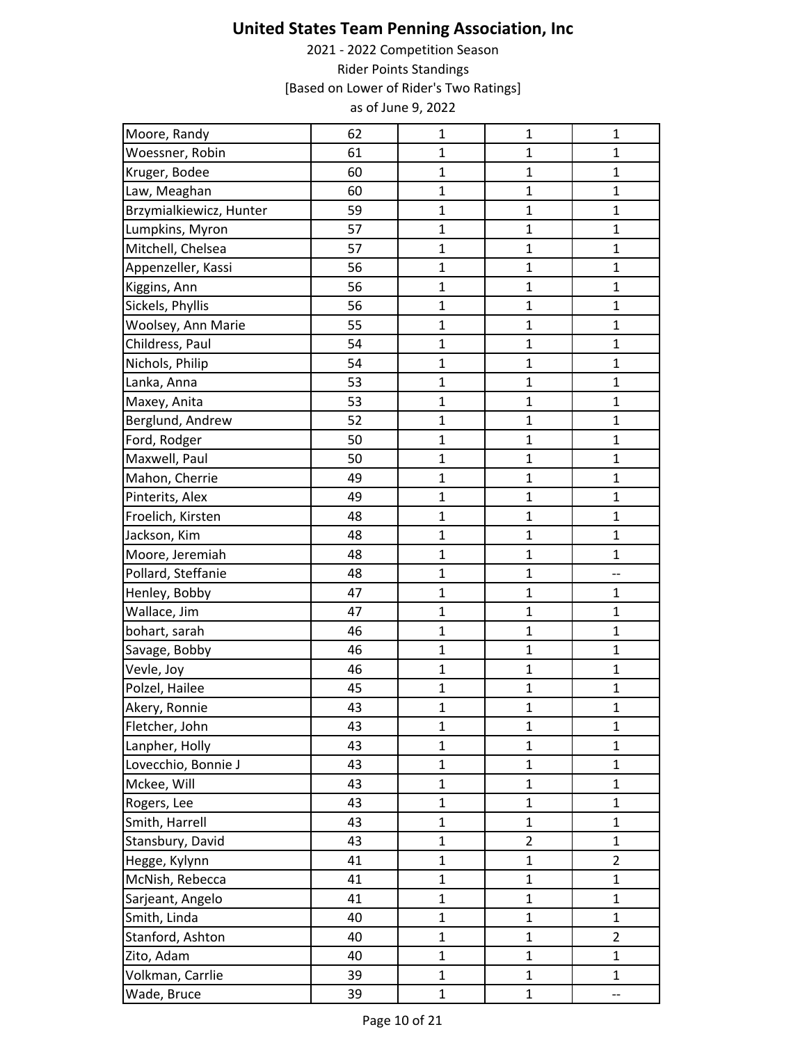| Moore, Randy            | 62 | $\mathbf{1}$ | $\mathbf{1}$   | $\mathbf 1$    |
|-------------------------|----|--------------|----------------|----------------|
| Woessner, Robin         | 61 | $\mathbf{1}$ | $\mathbf{1}$   | $\mathbf{1}$   |
| Kruger, Bodee           | 60 | $\mathbf{1}$ | $\mathbf 1$    | $\mathbf{1}$   |
| Law, Meaghan            | 60 | $\mathbf{1}$ | $\mathbf{1}$   | $\mathbf{1}$   |
| Brzymialkiewicz, Hunter | 59 | $\mathbf{1}$ | $\mathbf{1}$   | $\mathbf{1}$   |
| Lumpkins, Myron         | 57 | $\mathbf{1}$ | $\mathbf{1}$   | $\mathbf{1}$   |
| Mitchell, Chelsea       | 57 | $\mathbf{1}$ | $\mathbf{1}$   | $\mathbf{1}$   |
| Appenzeller, Kassi      | 56 | $\mathbf 1$  | $\mathbf 1$    | $\mathbf 1$    |
| Kiggins, Ann            | 56 | $\mathbf{1}$ | $\mathbf{1}$   | $\mathbf{1}$   |
| Sickels, Phyllis        | 56 | $\mathbf{1}$ | $\mathbf 1$    | $\mathbf{1}$   |
| Woolsey, Ann Marie      | 55 | $\mathbf{1}$ | $\mathbf{1}$   | $\mathbf{1}$   |
| Childress, Paul         | 54 | $\mathbf{1}$ | $\mathbf{1}$   | $\mathbf{1}$   |
| Nichols, Philip         | 54 | $\mathbf 1$  | $\mathbf{1}$   | $\mathbf{1}$   |
| Lanka, Anna             | 53 | $\mathbf{1}$ | $\mathbf{1}$   | $\mathbf{1}$   |
| Maxey, Anita            | 53 | $\mathbf{1}$ | $\mathbf{1}$   | $\mathbf{1}$   |
| Berglund, Andrew        | 52 | $\mathbf{1}$ | $\mathbf{1}$   | $\mathbf{1}$   |
| Ford, Rodger            | 50 | $\mathbf{1}$ | $\mathbf 1$    | $\mathbf{1}$   |
| Maxwell, Paul           | 50 | $\mathbf{1}$ | $\mathbf{1}$   | $\mathbf{1}$   |
| Mahon, Cherrie          | 49 | $\mathbf{1}$ | $\mathbf{1}$   | $\mathbf{1}$   |
| Pinterits, Alex         | 49 | $\mathbf{1}$ | $\mathbf{1}$   | $\mathbf{1}$   |
| Froelich, Kirsten       | 48 | $\mathbf{1}$ | $\mathbf{1}$   | $\mathbf{1}$   |
| Jackson, Kim            | 48 | $\mathbf{1}$ | $\mathbf 1$    | $\mathbf 1$    |
| Moore, Jeremiah         | 48 | $\mathbf{1}$ | $\mathbf{1}$   | $\mathbf{1}$   |
| Pollard, Steffanie      | 48 | $\mathbf{1}$ | $\mathbf{1}$   | --             |
| Henley, Bobby           | 47 | $\mathbf{1}$ | $\mathbf{1}$   | $\mathbf{1}$   |
| Wallace, Jim            | 47 | $\mathbf{1}$ | $\mathbf{1}$   | $\mathbf{1}$   |
| bohart, sarah           | 46 | $\mathbf 1$  | $\mathbf 1$    | $\mathbf 1$    |
| Savage, Bobby           | 46 | $\mathbf{1}$ | $\mathbf{1}$   | $\mathbf{1}$   |
| Vevle, Joy              | 46 | $\mathbf{1}$ | $\mathbf{1}$   | $\mathbf{1}$   |
| Polzel, Hailee          | 45 | $\mathbf 1$  | $\mathbf 1$    | $\mathbf{1}$   |
| Akery, Ronnie           | 43 | $\mathbf{1}$ | $\mathbf{1}$   | $\mathbf{1}$   |
| Fletcher, John          | 43 | $\mathbf{1}$ | $\mathbf{1}$   | $\mathbf 1$    |
| Lanpher, Holly          | 43 | $\mathbf{1}$ | $\mathbf{1}$   | $\mathbf{1}$   |
| Lovecchio, Bonnie J     | 43 | $\mathbf 1$  | $\mathbf 1$    | $\mathbf 1$    |
| Mckee, Will             | 43 | $\mathbf{1}$ | $\mathbf{1}$   | $\mathbf{1}$   |
| Rogers, Lee             | 43 | $\mathbf{1}$ | $\mathbf{1}$   | $\mathbf{1}$   |
| Smith, Harrell          | 43 | $\mathbf{1}$ | $\mathbf{1}$   | $\mathbf{1}$   |
| Stansbury, David        | 43 | $\mathbf{1}$ | $\overline{2}$ | $\mathbf{1}$   |
| Hegge, Kylynn           | 41 | $\mathbf{1}$ | $\mathbf{1}$   | $\overline{2}$ |
| McNish, Rebecca         | 41 | $\mathbf{1}$ | $\mathbf{1}$   | $\mathbf{1}$   |
| Sarjeant, Angelo        | 41 | $\mathbf{1}$ | $\mathbf 1$    | $\mathbf 1$    |
| Smith, Linda            | 40 | $\mathbf{1}$ | $\mathbf{1}$   | $\mathbf{1}$   |
| Stanford, Ashton        | 40 | $\mathbf{1}$ | $\mathbf{1}$   | $\overline{2}$ |
| Zito, Adam              | 40 | $\mathbf{1}$ | $\mathbf{1}$   | $\mathbf{1}$   |
| Volkman, Carrlie        | 39 | $\mathbf{1}$ | $\mathbf{1}$   | $\mathbf{1}$   |
| Wade, Bruce             | 39 | $\mathbf 1$  | $\mathbf{1}$   | --             |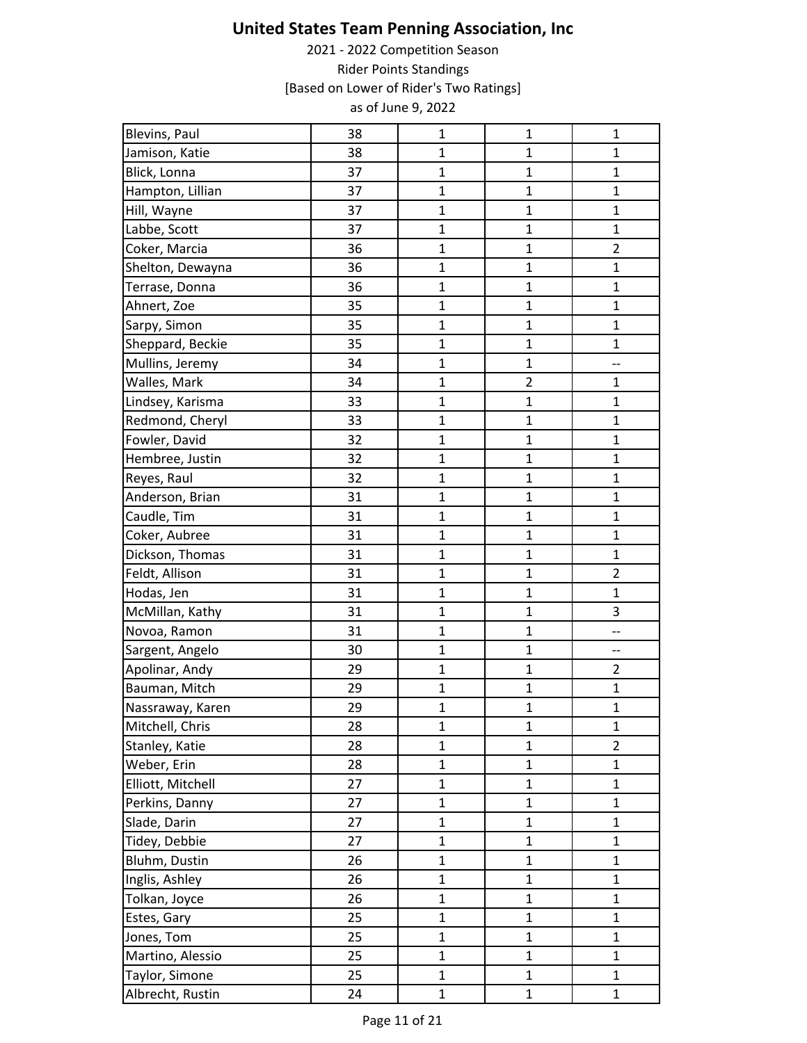| Blevins, Paul     | 38 | $\mathbf{1}$   | $\mathbf{1}$   | $\mathbf{1}$   |
|-------------------|----|----------------|----------------|----------------|
| Jamison, Katie    | 38 | $\mathbf{1}$   | $\mathbf{1}$   | $\mathbf{1}$   |
| Blick, Lonna      | 37 | $\mathbf 1$    | $\mathbf 1$    | $\mathbf{1}$   |
| Hampton, Lillian  | 37 | $\mathbf{1}$   | $\mathbf{1}$   | $\mathbf{1}$   |
| Hill, Wayne       | 37 | $\mathbf{1}$   | $\mathbf{1}$   | $\mathbf{1}$   |
| Labbe, Scott      | 37 | $\mathbf{1}$   | $\mathbf{1}$   | $\mathbf{1}$   |
| Coker, Marcia     | 36 | $\mathbf{1}$   | $\mathbf{1}$   | $\overline{2}$ |
| Shelton, Dewayna  | 36 | $\mathbf 1$    | $\mathbf 1$    | $\mathbf 1$    |
| Terrase, Donna    | 36 | $\mathbf{1}$   | $\mathbf{1}$   | $\mathbf{1}$   |
| Ahnert, Zoe       | 35 | $\mathbf{1}$   | $\mathbf 1$    | $\mathbf 1$    |
| Sarpy, Simon      | 35 | $\mathbf{1}$   | $\mathbf{1}$   | $\mathbf{1}$   |
| Sheppard, Beckie  | 35 | $\mathbf{1}$   | $\mathbf{1}$   | $\mathbf{1}$   |
| Mullins, Jeremy   | 34 | $\mathbf{1}$   | $\mathbf{1}$   | --             |
| Walles, Mark      | 34 | $\mathbf{1}$   | $\overline{2}$ | $\mathbf{1}$   |
| Lindsey, Karisma  | 33 | $\mathbf{1}$   | $\mathbf 1$    | $\mathbf 1$    |
| Redmond, Cheryl   | 33 | $\mathbf{1}$   | $\mathbf 1$    | $\mathbf{1}$   |
| Fowler, David     | 32 | $\mathbf 1$    | $\mathbf 1$    | $\mathbf 1$    |
| Hembree, Justin   | 32 | $\mathbf{1}$   | $\mathbf{1}$   | $\mathbf{1}$   |
| Reyes, Raul       | 32 | $\mathbf{1}$   | $\mathbf{1}$   | $\mathbf{1}$   |
| Anderson, Brian   | 31 | $\mathbf{1}$   | $\mathbf{1}$   | $\mathbf{1}$   |
| Caudle, Tim       | 31 | $\mathbf{1}$   | $\mathbf{1}$   | $\mathbf{1}$   |
| Coker, Aubree     | 31 | $\mathbf{1}$   | $\mathbf 1$    | $\mathbf 1$    |
| Dickson, Thomas   | 31 | $\mathbf{1}$   | $\mathbf{1}$   | $\mathbf{1}$   |
| Feldt, Allison    | 31 | $\mathbf{1}$   | $\mathbf{1}$   | $\overline{2}$ |
| Hodas, Jen        | 31 | $\mathbf{1}$   | $\mathbf{1}$   | $\mathbf{1}$   |
| McMillan, Kathy   | 31 | $\mathbf{1}$   | $\mathbf{1}$   | 3              |
| Novoa, Ramon      | 31 | $\mathbf 1$    | $\mathbf 1$    | --             |
| Sargent, Angelo   | 30 | $\mathbf{1}$   | $\mathbf{1}$   | --             |
| Apolinar, Andy    | 29 | $\mathbf{1}$   | $\overline{1}$ | $\overline{2}$ |
| Bauman, Mitch     | 29 | $\mathbf 1$    | $\mathbf 1$    | $\mathbf 1$    |
| Nassraway, Karen  | 29 | $\mathbf{1}$   | $\mathbf{1}$   | $\mathbf{1}$   |
| Mitchell, Chris   | 28 | $\mathbf{1}$   | $\mathbf 1$    | $\mathbf{1}$   |
| Stanley, Katie    | 28 | $\mathbf{1}$   | $\mathbf{1}$   | $\overline{2}$ |
| Weber, Erin       | 28 | $\mathbf 1$    | $\mathbf 1$    | $\mathbf 1$    |
| Elliott, Mitchell | 27 | $\mathbf{1}$   | $\overline{1}$ | $\mathbf{1}$   |
| Perkins, Danny    | 27 | $\mathbf{1}$   | $\mathbf 1$    | $\mathbf 1$    |
| Slade, Darin      | 27 | $\mathbf{1}$   | $\mathbf{1}$   | $\mathbf{1}$   |
| Tidey, Debbie     | 27 | $\mathbf{1}$   | $\mathbf{1}$   | $\mathbf{1}$   |
| Bluhm, Dustin     | 26 | $\mathbf{1}$   | $\mathbf{1}$   | $\mathbf{1}$   |
| Inglis, Ashley    | 26 | $\mathbf{1}$   | $\mathbf{1}$   | $\mathbf{1}$   |
| Tolkan, Joyce     | 26 | $\mathbf{1}$   | $\mathbf 1$    | $\mathbf 1$    |
| Estes, Gary       | 25 | $\mathbf{1}$   | $\mathbf{1}$   | $\mathbf{1}$   |
| Jones, Tom        | 25 | $\mathbf{1}$   | $\mathbf{1}$   | $\mathbf{1}$   |
| Martino, Alessio  | 25 | $\overline{1}$ | $\mathbf{1}$   | $\mathbf{1}$   |
| Taylor, Simone    | 25 | $\mathbf{1}$   | $\mathbf{1}$   | $\mathbf{1}$   |
| Albrecht, Rustin  | 24 | $\mathbf 1$    | $\mathbf{1}$   | $\mathbf{1}$   |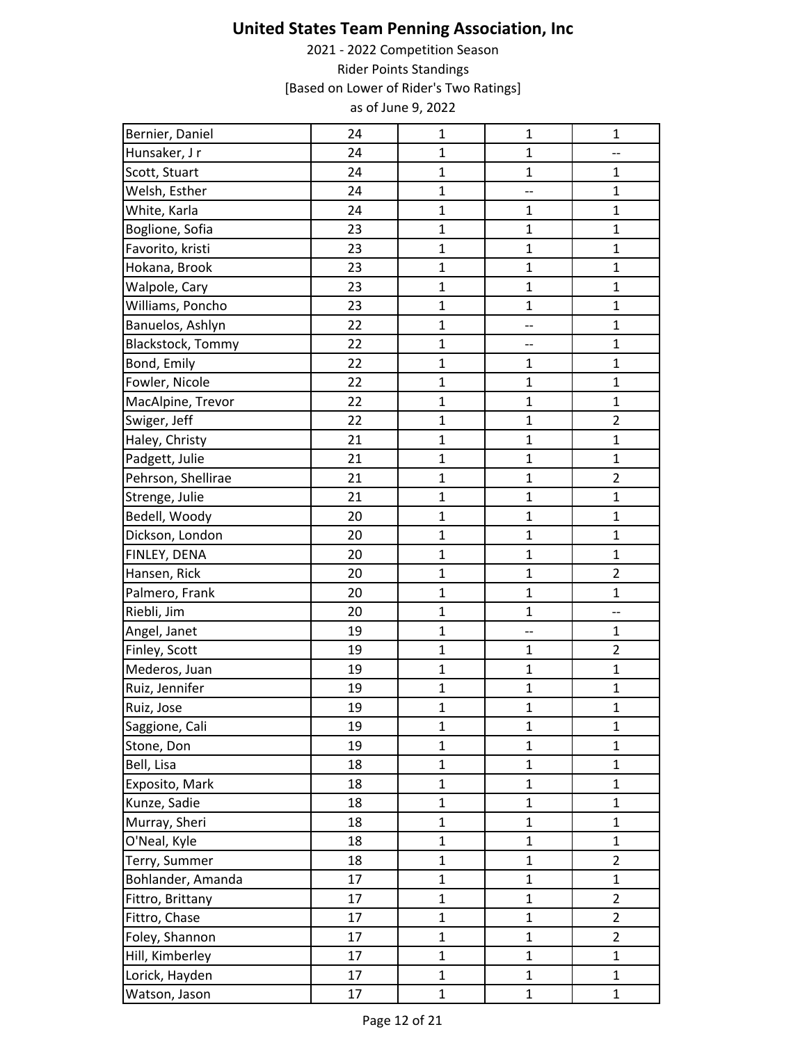| Bernier, Daniel    | 24 | $\mathbf{1}$   | 1              | $\mathbf{1}$   |
|--------------------|----|----------------|----------------|----------------|
| Hunsaker, J r      | 24 | $\overline{1}$ | $\mathbf 1$    | --             |
| Scott, Stuart      | 24 | $\mathbf{1}$   | $\mathbf{1}$   | $\mathbf{1}$   |
| Welsh, Esther      | 24 | $\overline{1}$ | --             | $\mathbf{1}$   |
| White, Karla       | 24 | $\mathbf{1}$   | $\mathbf{1}$   | $\mathbf{1}$   |
| Boglione, Sofia    | 23 | $\mathbf{1}$   | $\mathbf{1}$   | $\mathbf{1}$   |
| Favorito, kristi   | 23 | $\mathbf{1}$   | $\mathbf{1}$   | $\mathbf{1}$   |
| Hokana, Brook      | 23 | $\mathbf{1}$   | $\mathbf{1}$   | $\mathbf 1$    |
| Walpole, Cary      | 23 | $\mathbf{1}$   | $\mathbf{1}$   | $\mathbf{1}$   |
| Williams, Poncho   | 23 | $\mathbf{1}$   | $\mathbf{1}$   | $\mathbf{1}$   |
| Banuelos, Ashlyn   | 22 | $\mathbf{1}$   | --             | $\mathbf{1}$   |
| Blackstock, Tommy  | 22 | $\mathbf{1}$   | --             | $\mathbf{1}$   |
| Bond, Emily        | 22 | $\mathbf 1$    | $\mathbf{1}$   | $\mathbf 1$    |
| Fowler, Nicole     | 22 | $\mathbf{1}$   | $\mathbf{1}$   | $\mathbf{1}$   |
| MacAlpine, Trevor  | 22 | $\mathbf{1}$   | $\mathbf{1}$   | $\mathbf{1}$   |
| Swiger, Jeff       | 22 | $\mathbf{1}$   | $\mathbf{1}$   | $\overline{2}$ |
| Haley, Christy     | 21 | $\mathbf{1}$   | $\mathbf 1$    | $\mathbf{1}$   |
| Padgett, Julie     | 21 | $\mathbf{1}$   | $\mathbf{1}$   | $\mathbf{1}$   |
| Pehrson, Shellirae | 21 | $\mathbf{1}$   | $\mathbf{1}$   | $\overline{2}$ |
| Strenge, Julie     | 21 | $\overline{1}$ | $\mathbf{1}$   | $\mathbf{1}$   |
| Bedell, Woody      | 20 | $\mathbf{1}$   | $\mathbf{1}$   | $\mathbf{1}$   |
| Dickson, London    | 20 | $\mathbf{1}$   | $\mathbf{1}$   | $\mathbf{1}$   |
| FINLEY, DENA       | 20 | $\overline{1}$ | $\mathbf{1}$   | $\mathbf{1}$   |
| Hansen, Rick       | 20 | $\mathbf{1}$   | $\mathbf{1}$   | $\overline{2}$ |
| Palmero, Frank     | 20 | $\overline{1}$ | $\overline{1}$ | $\mathbf{1}$   |
| Riebli, Jim        | 20 | $\mathbf{1}$   | $\mathbf 1$    | --             |
| Angel, Janet       | 19 | $\mathbf{1}$   | --             | $\mathbf 1$    |
| Finley, Scott      | 19 | $\mathbf{1}$   | $\mathbf{1}$   | $\overline{2}$ |
| Mederos, Juan      | 19 | $\overline{1}$ | $\mathbf 1$    | $\mathbf{1}$   |
| Ruiz, Jennifer     | 19 | $\mathbf{1}$   | 1              | $\mathbf{1}$   |
| Ruiz, Jose         | 19 | $\mathbf{1}$   | $\mathbf{1}$   | $\mathbf{1}$   |
| Saggione, Cali     | 19 | $\mathbf 1$    | $\mathbf{1}$   | $\mathbf{1}$   |
| Stone, Don         | 19 | $\mathbf{1}$   | $\overline{1}$ | $\mathbf{1}$   |
| Bell, Lisa         | 18 | $\mathbf{1}$   | $\mathbf{1}$   | $\mathbf 1$    |
| Exposito, Mark     | 18 | $\mathbf{1}$   | $\mathbf 1$    | $\mathbf 1$    |
| Kunze, Sadie       | 18 | $\mathbf{1}$   | $\mathbf{1}$   | $\mathbf{1}$   |
| Murray, Sheri      | 18 | $\mathbf{1}$   | $\mathbf 1$    | $\mathbf{1}$   |
| O'Neal, Kyle       | 18 | $\mathbf{1}$   | $\mathbf{1}$   | $\mathbf{1}$   |
| Terry, Summer      | 18 | $\mathbf{1}$   | $\mathbf{1}$   | $\overline{2}$ |
| Bohlander, Amanda  | 17 | $\mathbf{1}$   | $\mathbf 1$    | $\mathbf{1}$   |
| Fittro, Brittany   | 17 | $\mathbf{1}$   | $\mathbf{1}$   | $\overline{2}$ |
| Fittro, Chase      | 17 | $\mathbf{1}$   | $\mathbf 1$    | $\overline{a}$ |
| Foley, Shannon     | 17 | $\mathbf{1}$   | $\mathbf{1}$   | $\overline{2}$ |
| Hill, Kimberley    | 17 | $\mathbf 1$    | $\mathbf{1}$   | $\mathbf{1}$   |
| Lorick, Hayden     | 17 | $\mathbf{1}$   | 1              | $\mathbf{1}$   |
| Watson, Jason      | 17 | $\mathbf{1}$   | $\mathbf 1$    | $\mathbf{1}$   |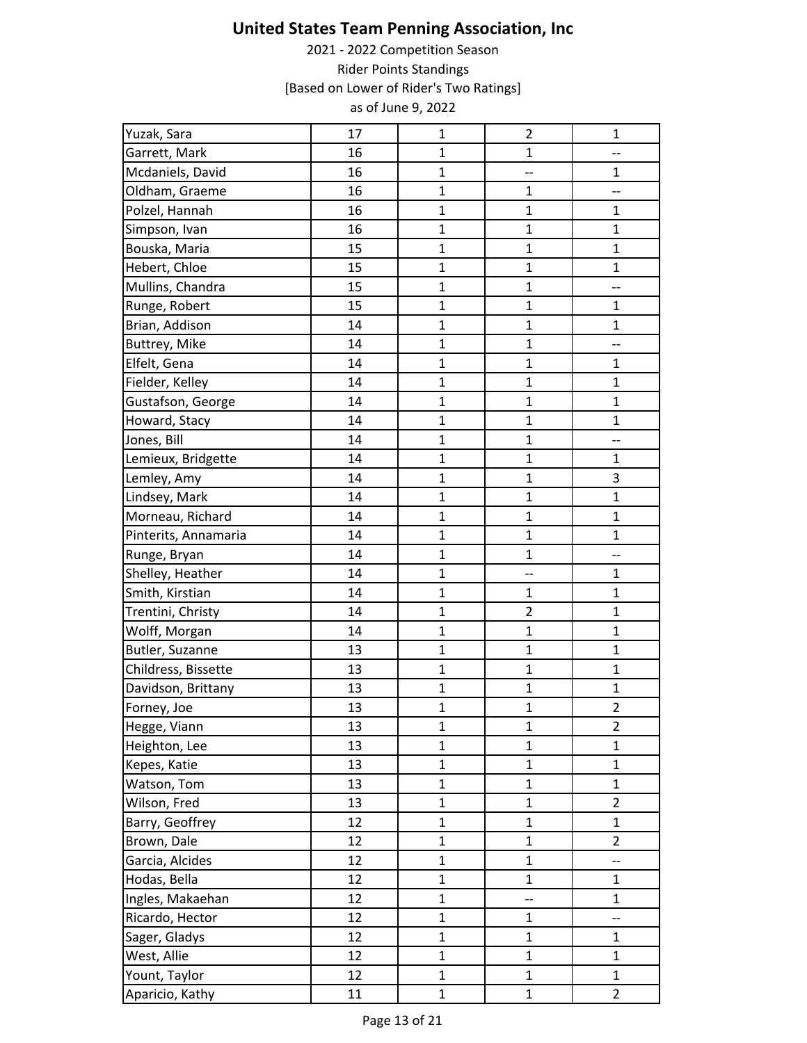| Yuzak, Sara          | 17 | $\mathbf{1}$ | $\overline{2}$ | $\mathbf 1$              |
|----------------------|----|--------------|----------------|--------------------------|
| Garrett, Mark        | 16 | $\mathbf{1}$ | $\mathbf 1$    | --                       |
| Mcdaniels, David     | 16 | $\mathbf{1}$ | --             | $\mathbf{1}$             |
| Oldham, Graeme       | 16 | $\mathbf{1}$ | $\mathbf{1}$   | --                       |
| Polzel, Hannah       | 16 | $\mathbf 1$  | $\mathbf{1}$   | 1                        |
| Simpson, Ivan        | 16 | $\mathbf 1$  | $\mathbf{1}$   | $\mathbf{1}$             |
| Bouska, Maria        | 15 | $\mathbf{1}$ | $\mathbf{1}$   | $\mathbf{1}$             |
| Hebert, Chloe        | 15 | $\mathbf{1}$ | $\mathbf{1}$   | $\mathbf 1$              |
| Mullins, Chandra     | 15 | $\mathbf 1$  | $\mathbf{1}$   | $\overline{\phantom{a}}$ |
| Runge, Robert        | 15 | $\mathbf{1}$ | $\mathbf{1}$   | $\mathbf{1}$             |
| Brian, Addison       | 14 | $\mathbf{1}$ | $\mathbf{1}$   | $\mathbf{1}$             |
| Buttrey, Mike        | 14 | $\mathbf 1$  | $\mathbf{1}$   | $\overline{\phantom{a}}$ |
| Elfelt, Gena         | 14 | $\mathbf 1$  | $\mathbf 1$    | $\mathbf 1$              |
| Fielder, Kelley      | 14 | $\mathbf{1}$ | $\mathbf{1}$   | $\mathbf{1}$             |
| Gustafson, George    | 14 | $\mathbf{1}$ | $\mathbf{1}$   | $\mathbf{1}$             |
| Howard, Stacy        | 14 | $\mathbf{1}$ | $\mathbf{1}$   | $\mathbf{1}$             |
| Jones, Bill          | 14 | $\mathbf 1$  | $\mathbf{1}$   | $\overline{\phantom{a}}$ |
| Lemieux, Bridgette   | 14 | $\mathbf{1}$ | $\mathbf 1$    | $\mathbf{1}$             |
| Lemley, Amy          | 14 | $\mathbf 1$  | $\mathbf{1}$   | 3                        |
| Lindsey, Mark        | 14 | $\mathbf{1}$ | $\mathbf{1}$   | $\mathbf{1}$             |
| Morneau, Richard     | 14 | $\mathbf{1}$ | $\mathbf{1}$   | $\mathbf{1}$             |
| Pinterits, Annamaria | 14 | $\mathbf{1}$ | $\mathbf{1}$   | $\mathbf{1}$             |
| Runge, Bryan         | 14 | $\mathbf{1}$ | $\mathbf{1}$   | --                       |
| Shelley, Heather     | 14 | $\mathbf{1}$ | --             | $\mathbf{1}$             |
| Smith, Kirstian      | 14 | $\mathbf 1$  | $\mathbf{1}$   | $\mathbf{1}$             |
| Trentini, Christy    | 14 | $\mathbf 1$  | $\overline{2}$ | $\mathbf{1}$             |
| Wolff, Morgan        | 14 | $\mathbf{1}$ | $\mathbf{1}$   | $\mathbf{1}$             |
| Butler, Suzanne      | 13 | $\mathbf{1}$ | $\mathbf{1}$   | $\mathbf{1}$             |
| Childress, Bissette  | 13 | $\mathbf 1$  | $\mathbf{1}$   | $\mathbf{1}$             |
| Davidson, Brittany   | 13 | $\mathbf 1$  | $\mathbf 1$    | $\mathbf{1}$             |
| Forney, Joe          | 13 | $\mathbf{1}$ | $\mathbf{1}$   | $\overline{2}$           |
| Hegge, Viann         | 13 | $\mathbf{1}$ | $\mathbf{1}$   | $\overline{2}$           |
| Heighton, Lee        | 13 | $\mathbf{1}$ | $\mathbf{1}$   | $\mathbf{1}$             |
| Kepes, Katie         | 13 | $\mathbf 1$  | $\mathbf 1$    | $\mathbf 1$              |
| Watson, Tom          | 13 | $\mathbf{1}$ | $\mathbf{1}$   | $\mathbf 1$              |
| Wilson, Fred         | 13 | $\mathbf{1}$ | $\mathbf{1}$   | $\overline{2}$           |
| Barry, Geoffrey      | 12 | $\mathbf{1}$ | $\mathbf{1}$   | $\mathbf{1}$             |
| Brown, Dale          | 12 | $\mathbf{1}$ | $\mathbf{1}$   | $\overline{2}$           |
| Garcia, Alcides      | 12 | $\mathbf 1$  | $\mathbf 1$    | $\overline{\phantom{a}}$ |
| Hodas, Bella         | 12 | $\mathbf{1}$ | $\mathbf{1}$   | $\mathbf 1$              |
| Ingles, Makaehan     | 12 | $\mathbf{1}$ | --             | $\mathbf{1}$             |
| Ricardo, Hector      | 12 | $\mathbf{1}$ | $\mathbf{1}$   | --                       |
| Sager, Gladys        | 12 | $\mathbf{1}$ | $\mathbf{1}$   | $\mathbf{1}$             |
| West, Allie          | 12 | $\mathbf 1$  | $\mathbf 1$    | $\mathbf 1$              |
| Yount, Taylor        | 12 | $\mathbf 1$  | $\mathbf{1}$   | $\mathbf{1}$             |
| Aparicio, Kathy      | 11 | $\mathbf{1}$ | $\mathbf 1$    | $\overline{2}$           |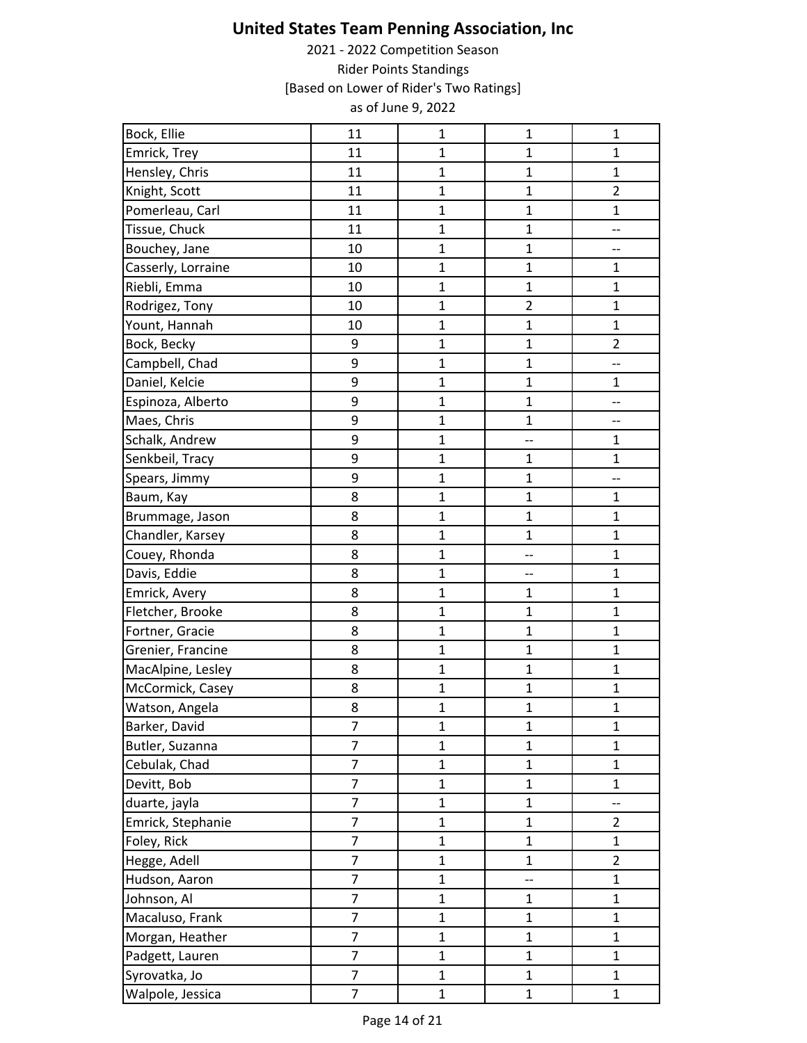| Bock, Ellie        | 11             | $\mathbf 1$    | 1              | $\mathbf{1}$   |
|--------------------|----------------|----------------|----------------|----------------|
| Emrick, Trey       | 11             | $\mathbf{1}$   | $\mathbf{1}$   | $\mathbf{1}$   |
| Hensley, Chris     | 11             | $\mathbf{1}$   | $\mathbf{1}$   | $\mathbf{1}$   |
| Knight, Scott      | 11             | $\overline{1}$ | $\mathbf{1}$   | $\overline{2}$ |
| Pomerleau, Carl    | 11             | $\mathbf{1}$   | $\mathbf{1}$   | $\mathbf{1}$   |
| Tissue, Chuck      | 11             | $\overline{1}$ | $\mathbf{1}$   | --             |
| Bouchey, Jane      | 10             | $\mathbf{1}$   | $\mathbf{1}$   | --             |
| Casserly, Lorraine | 10             | $\mathbf{1}$   | $\mathbf 1$    | $\mathbf 1$    |
| Riebli, Emma       | 10             | $\mathbf{1}$   | $\mathbf{1}$   | $\mathbf{1}$   |
| Rodrigez, Tony     | 10             | $\mathbf{1}$   | $\overline{2}$ | $\mathbf{1}$   |
| Yount, Hannah      | 10             | $\mathbf{1}$   | $\mathbf{1}$   | 1              |
| Bock, Becky        | 9              | $\mathbf{1}$   | $\mathbf{1}$   | $\overline{2}$ |
| Campbell, Chad     | 9              | $\mathbf 1$    | $\mathbf{1}$   | --             |
| Daniel, Kelcie     | 9              | $\mathbf{1}$   | $\mathbf{1}$   | $\mathbf{1}$   |
| Espinoza, Alberto  | 9              | $\mathbf{1}$   | $\mathbf{1}$   | --             |
| Maes, Chris        | 9              | $\mathbf{1}$   | $\mathbf 1$    | --             |
| Schalk, Andrew     | 9              | $\mathbf{1}$   | --             | $\mathbf{1}$   |
| Senkbeil, Tracy    | 9              | $\mathbf{1}$   | $\mathbf{1}$   | $\mathbf 1$    |
| Spears, Jimmy      | 9              | $\mathbf{1}$   | $\mathbf{1}$   | --             |
| Baum, Kay          | 8              | $\mathbf{1}$   | $\mathbf{1}$   | $\mathbf{1}$   |
| Brummage, Jason    | 8              | $\overline{1}$ | $\mathbf{1}$   | $\mathbf 1$    |
| Chandler, Karsey   | 8              | $\mathbf{1}$   | $\mathbf 1$    | $\mathbf{1}$   |
| Couey, Rhonda      | 8              | $\mathbf{1}$   | --             | $\mathbf{1}$   |
| Davis, Eddie       | 8              | $\mathbf{1}$   | --             | $\mathbf{1}$   |
| Emrick, Avery      | 8              | $\mathbf{1}$   | $\mathbf{1}$   | $\mathbf{1}$   |
| Fletcher, Brooke   | 8              | $\mathbf 1$    | $\mathbf{1}$   | $\mathbf{1}$   |
| Fortner, Gracie    | 8              | $\mathbf{1}$   | $\mathbf 1$    | $\mathbf 1$    |
| Grenier, Francine  | 8              | $\mathbf{1}$   | $\mathbf{1}$   | $\mathbf{1}$   |
| MacAlpine, Lesley  | 8              | $\mathbf{1}$   | $\mathbf{1}$   | $\mathbf{1}$   |
| McCormick, Casey   | 8              | 1              | $\mathbf{1}$   | $\mathbf{1}$   |
| Watson, Angela     | 8              | $\mathbf{1}$   | $\mathbf{1}$   | $\mathbf{1}$   |
| Barker, David      | $\overline{7}$ | $\mathbf{1}$   | $\mathbf 1$    | $\mathbf 1$    |
| Butler, Suzanna    | $\overline{7}$ | $\mathbf{1}$   | $\mathbf{1}$   | $\mathbf{1}$   |
| Cebulak, Chad      | 7              | $\mathbf 1$    | $\mathbf 1$    | $\mathbf 1$    |
| Devitt, Bob        | $\overline{7}$ | $\mathbf 1$    | $\mathbf 1$    | $\mathbf 1$    |
| duarte, jayla      | $\overline{7}$ | $\mathbf{1}$   | $\mathbf{1}$   | --             |
| Emrick, Stephanie  | $\overline{7}$ | $\mathbf{1}$   | $\mathbf{1}$   | $\overline{2}$ |
| Foley, Rick        | $\overline{7}$ | $\mathbf{1}$   | $\mathbf{1}$   | $\mathbf{1}$   |
| Hegge, Adell       | $\overline{7}$ | $\mathbf 1$    | $\mathbf 1$    | $\overline{2}$ |
| Hudson, Aaron      | 7              | $\mathbf{1}$   | --             | $\mathbf 1$    |
| Johnson, Al        | $\overline{7}$ | $\mathbf{1}$   | $\mathbf{1}$   | $\mathbf{1}$   |
| Macaluso, Frank    | $\overline{7}$ | $\mathbf{1}$   | $\mathbf{1}$   | $\mathbf{1}$   |
| Morgan, Heather    | $\overline{7}$ | $\mathbf{1}$   | $\mathbf{1}$   | $\mathbf{1}$   |
| Padgett, Lauren    | $\overline{7}$ | $\mathbf 1$    | $\mathbf{1}$   | $\mathbf 1$    |
| Syrovatka, Jo      | $\overline{7}$ | $\mathbf{1}$   | $\mathbf{1}$   | $\mathbf{1}$   |
| Walpole, Jessica   | $\overline{7}$ | $\mathbf 1$    | $\mathbf 1$    | $\mathbf{1}$   |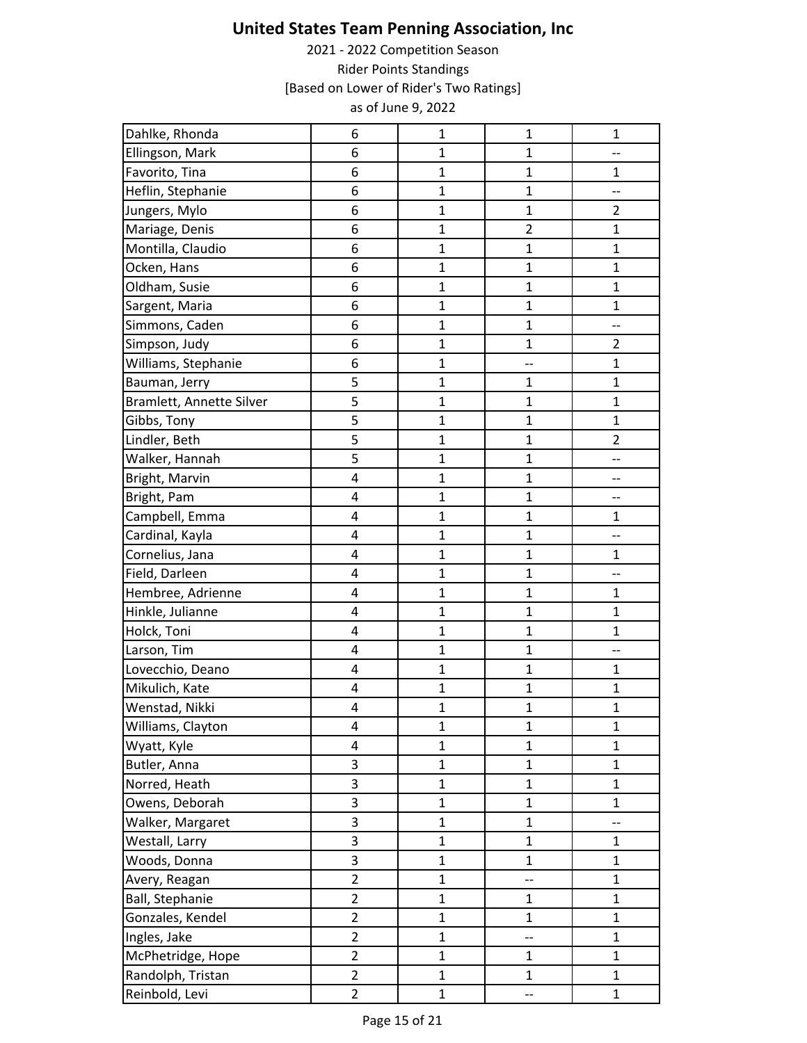| Dahlke, Rhonda           | 6              | $\mathbf 1$    | $\mathbf 1$    | $\mathbf 1$    |
|--------------------------|----------------|----------------|----------------|----------------|
| Ellingson, Mark          | 6              | $\mathbf{1}$   | $\mathbf{1}$   | --             |
| Favorito, Tina           | 6              | $\mathbf 1$    | $\mathbf 1$    | $\mathbf 1$    |
| Heflin, Stephanie        | 6              | $\mathbf{1}$   | $\mathbf{1}$   | --             |
| Jungers, Mylo            | 6              | $\mathbf{1}$   | $\mathbf{1}$   | $\overline{2}$ |
| Mariage, Denis           | 6              | $\mathbf 1$    | $\overline{2}$ | $\mathbf{1}$   |
| Montilla, Claudio        | 6              | 1              | $\mathbf{1}$   | $\mathbf{1}$   |
| Ocken, Hans              | 6              | $\mathbf 1$    | $\mathbf 1$    | $\mathbf{1}$   |
| Oldham, Susie            | 6              | $\mathbf{1}$   | $\mathbf{1}$   | $\mathbf{1}$   |
| Sargent, Maria           | 6              | $\mathbf{1}$   | $\mathbf{1}$   | $\mathbf{1}$   |
| Simmons, Caden           | 6              | $\mathbf{1}$   | $\mathbf{1}$   | --             |
| Simpson, Judy            | 6              | $\mathbf{1}$   | $\mathbf{1}$   | $\overline{2}$ |
| Williams, Stephanie      | 6              | $\mathbf 1$    | --             | $\mathbf{1}$   |
| Bauman, Jerry            | 5              | $\mathbf{1}$   | $\mathbf{1}$   | $\mathbf{1}$   |
| Bramlett, Annette Silver | 5              | $\mathbf{1}$   | $\mathbf 1$    | $\mathbf{1}$   |
| Gibbs, Tony              | 5              | $\mathbf{1}$   | $\mathbf{1}$   | $\mathbf{1}$   |
| Lindler, Beth            | 5              | $\mathbf{1}$   | $\mathbf 1$    | $\overline{2}$ |
| Walker, Hannah           | 5              | $\mathbf{1}$   | $\mathbf{1}$   | --             |
| Bright, Marvin           | 4              | $\mathbf{1}$   | $\mathbf{1}$   | --             |
| Bright, Pam              | 4              | $\mathbf{1}$   | $\mathbf 1$    | --             |
| Campbell, Emma           | 4              | $\mathbf 1$    | $\mathbf{1}$   | 1              |
| Cardinal, Kayla          | 4              | $\mathbf{1}$   | $\mathbf 1$    | --             |
| Cornelius, Jana          | 4              | $\mathbf{1}$   | $\mathbf 1$    | $\mathbf{1}$   |
| Field, Darleen           | 4              | $\mathbf{1}$   | $\mathbf{1}$   | --             |
| Hembree, Adrienne        | 4              | $\mathbf 1$    | $\mathbf{1}$   | $\mathbf{1}$   |
| Hinkle, Julianne         | 4              | $\mathbf{1}$   | $\mathbf{1}$   | $\mathbf{1}$   |
| Holck, Toni              | 4              | $\mathbf 1$    | $\mathbf 1$    | $\mathbf{1}$   |
| Larson, Tim              | 4              | $\mathbf{1}$   | $\mathbf{1}$   | --             |
| Lovecchio, Deano         | 4              | $\mathbf{1}$   | $\mathbf{1}$   | $\mathbf{1}$   |
| Mikulich, Kate           | 4              | $\mathbf 1$    | $\mathbf{1}$   | $\mathbf{1}$   |
| Wenstad, Nikki           | 4              | $\mathbf{1}$   | $\mathbf{1}$   | $\mathbf{1}$   |
| Williams, Clayton        | 4              | $\mathbf{1}$   | $\mathbf{1}$   | $\mathbf{1}$   |
| Wyatt, Kyle              | 4              | $\mathbf{1}$   | $\mathbf{1}$   | 1              |
| Butler, Anna             | 3              | $\mathbf 1$    | $\mathbf 1$    | $\mathbf 1$    |
| Norred, Heath            | 3              | $\mathbf{1}$   | $\mathbf{1}$   | $\mathbf{1}$   |
| Owens, Deborah           | 3              | $\mathbf{1}$   | $\mathbf{1}$   | $\mathbf{1}$   |
| Walker, Margaret         | 3              | $\mathbf{1}$   | $\mathbf{1}$   | --             |
| Westall, Larry           | 3              | $\mathbf{1}$   | $\mathbf{1}$   | $\mathbf{1}$   |
| Woods, Donna             | 3              | $\mathbf 1$    | $\mathbf 1$    | $\mathbf 1$    |
| Avery, Reagan            | $\overline{2}$ | $\overline{1}$ | --             | $\mathbf{1}$   |
| Ball, Stephanie          | $\overline{2}$ | $\mathbf{1}$   | $\mathbf{1}$   | $\mathbf{1}$   |
| Gonzales, Kendel         | $\overline{2}$ | $\mathbf{1}$   | $\mathbf{1}$   | $\mathbf{1}$   |
| Ingles, Jake             | $\overline{2}$ | $\mathbf{1}$   | --             | $\mathbf{1}$   |
| McPhetridge, Hope        | $\overline{2}$ | $\mathbf{1}$   | $\mathbf{1}$   | $\mathbf{1}$   |
| Randolph, Tristan        | $\overline{2}$ | $\mathbf{1}$   | $\mathbf{1}$   | $\mathbf{1}$   |
| Reinbold, Levi           | $\overline{2}$ | $\mathbf 1$    | --             | $\mathbf{1}$   |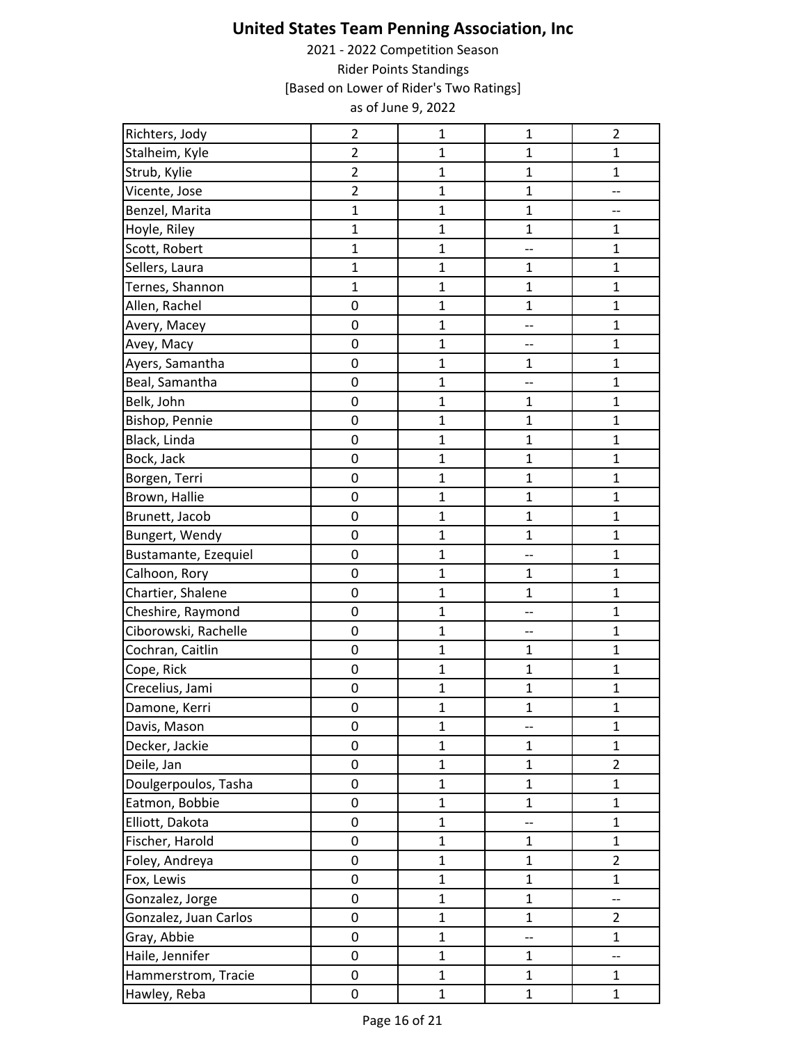| Richters, Jody        | $\overline{2}$ | $\mathbf{1}$   | $\mathbf{1}$ | $\overline{2}$ |
|-----------------------|----------------|----------------|--------------|----------------|
| Stalheim, Kyle        | $\overline{2}$ | $\mathbf{1}$   | $\mathbf{1}$ | $\mathbf{1}$   |
| Strub, Kylie          | $\overline{c}$ | $\mathbf{1}$   | $\mathbf 1$  | $\mathbf 1$    |
| Vicente, Jose         | $\overline{2}$ | $\overline{1}$ | $\mathbf{1}$ | --             |
| Benzel, Marita        | $\overline{1}$ | $\mathbf{1}$   | $\mathbf{1}$ | --             |
| Hoyle, Riley          | $\overline{1}$ | $\mathbf{1}$   | $\mathbf 1$  | $\mathbf{1}$   |
| Scott, Robert         | $\mathbf{1}$   | $\mathbf{1}$   | --           | $\mathbf{1}$   |
| Sellers, Laura        | $\mathbf{1}$   | $\mathbf{1}$   | $\mathbf 1$  | $\mathbf 1$    |
| Ternes, Shannon       | $\overline{1}$ | $\mathbf{1}$   | $\mathbf{1}$ | $\mathbf{1}$   |
| Allen, Rachel         | $\mathbf 0$    | $\overline{1}$ | $\mathbf 1$  | $\mathbf 1$    |
| Avery, Macey          | $\mathbf 0$    | $\mathbf{1}$   | --           | $\mathbf{1}$   |
| Avey, Macy            | $\mathbf 0$    | $\mathbf{1}$   | --           | $\mathbf{1}$   |
| Ayers, Samantha       | $\mathbf 0$    | $\overline{1}$ | $\mathbf 1$  | $\mathbf{1}$   |
| Beal, Samantha        | $\mathbf 0$    | $\mathbf{1}$   | --           | $\mathbf{1}$   |
| Belk, John            | $\mathbf 0$    | $\overline{1}$ | $\mathbf{1}$ | $\mathbf{1}$   |
| Bishop, Pennie        | $\mathbf 0$    | $\mathbf{1}$   | $\mathbf{1}$ | $\mathbf{1}$   |
| Black, Linda          | $\mathbf 0$    | $\mathbf{1}$   | $\mathbf{1}$ | $\mathbf 1$    |
| Bock, Jack            | $\mathbf 0$    | $\mathbf{1}$   | $\mathbf{1}$ | $\mathbf{1}$   |
| Borgen, Terri         | $\mathbf 0$    | $\mathbf{1}$   | $\mathbf{1}$ | $\mathbf{1}$   |
| Brown, Hallie         | $\mathbf 0$    | $\mathbf{1}$   | $\mathbf{1}$ | $\mathbf{1}$   |
| Brunett, Jacob        | $\mathbf 0$    | $\mathbf{1}$   | $\mathbf{1}$ | $\mathbf{1}$   |
| Bungert, Wendy        | $\mathbf 0$    | $\mathbf{1}$   | $\mathbf{1}$ | $\mathbf{1}$   |
| Bustamante, Ezequiel  | $\mathbf 0$    | $\mathbf{1}$   | --           | $\mathbf{1}$   |
| Calhoon, Rory         | $\mathbf 0$    | $\mathbf{1}$   | $\mathbf{1}$ | $\mathbf{1}$   |
| Chartier, Shalene     | $\mathbf 0$    | $\mathbf{1}$   | $\mathbf 1$  | $\mathbf{1}$   |
| Cheshire, Raymond     | $\mathbf 0$    | $\mathbf{1}$   | --           | $\mathbf{1}$   |
| Ciborowski, Rachelle  | $\mathbf 0$    | $\mathbf{1}$   | --           | $\mathbf 1$    |
| Cochran, Caitlin      | $\mathbf 0$    | $\overline{1}$ | $\mathbf{1}$ | $\mathbf{1}$   |
| Cope, Rick            | $\mathbf 0$    | $\overline{1}$ | $\mathbf 1$  | $\mathbf{1}$   |
| Crecelius, Jami       | 0              | $\mathbf{1}$   | $\mathbf 1$  | $\mathbf{1}$   |
| Damone, Kerri         | $\mathbf 0$    | $\mathbf{1}$   | $\mathbf{1}$ | $\mathbf{1}$   |
| Davis, Mason          | 0              | $\mathbf{1}$   | --           | $\mathbf{1}$   |
| Decker, Jackie        | 0              | $\mathbf{1}$   | $\mathbf{1}$ | $\mathbf{1}$   |
| Deile, Jan            | $\pmb{0}$      | $\mathbf{1}$   | $\mathbf 1$  | $\overline{2}$ |
| Doulgerpoulos, Tasha  | 0              | $\mathbf{1}$   | $\mathbf 1$  | $\mathbf{1}$   |
| Eatmon, Bobbie        | $\mathbf 0$    | $\mathbf{1}$   | $\mathbf{1}$ | $\mathbf{1}$   |
| Elliott, Dakota       | 0              | $\mathbf{1}$   | --           | 1              |
| Fischer, Harold       | $\mathbf 0$    | $\mathbf{1}$   | 1            | $\mathbf{1}$   |
| Foley, Andreya        | $\pmb{0}$      | $\mathbf{1}$   | $\mathbf{1}$ | $\overline{2}$ |
| Fox, Lewis            | $\mathbf 0$    | $\mathbf{1}$   | $\mathbf 1$  | $\mathbf{1}$   |
| Gonzalez, Jorge       | $\mathbf 0$    | $\overline{1}$ | $\mathbf 1$  | --             |
| Gonzalez, Juan Carlos | 0              | $\mathbf{1}$   | $\mathbf{1}$ | $\overline{2}$ |
| Gray, Abbie           | $\mathbf 0$    | $\mathbf{1}$   | --           | $\mathbf{1}$   |
| Haile, Jennifer       | 0              | $\overline{1}$ | $\mathbf 1$  | --             |
| Hammerstrom, Tracie   | $\mathbf 0$    | $\mathbf{1}$   | $\mathbf{1}$ | $\mathbf{1}$   |
| Hawley, Reba          | $\pmb{0}$      | $\mathbf{1}$   | $\mathbf{1}$ | $\mathbf{1}$   |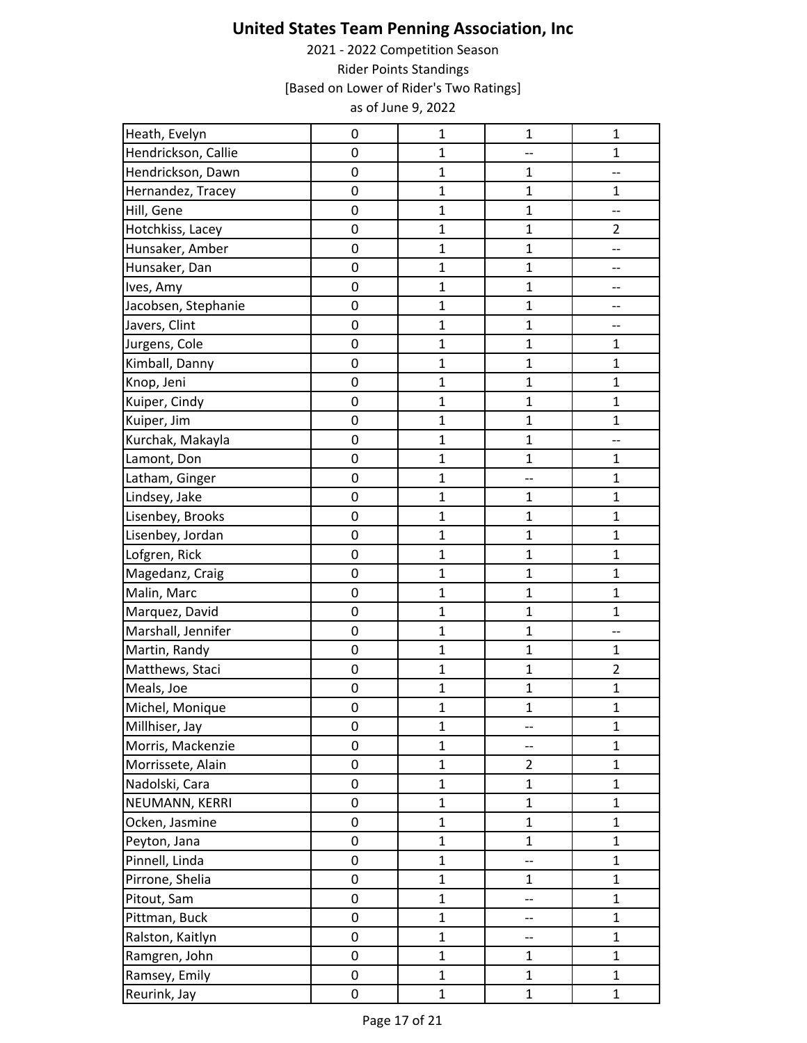| Heath, Evelyn       | $\mathbf 0$ | $\mathbf 1$    | $\mathbf 1$    | $\mathbf 1$    |
|---------------------|-------------|----------------|----------------|----------------|
| Hendrickson, Callie | 0           | $\mathbf{1}$   | --             | $\mathbf{1}$   |
| Hendrickson, Dawn   | $\mathbf 0$ | $\mathbf{1}$   | $\mathbf 1$    | --             |
| Hernandez, Tracey   | $\mathbf 0$ | $\mathbf{1}$   | $\mathbf{1}$   | $\mathbf{1}$   |
| Hill, Gene          | $\mathbf 0$ | $\mathbf{1}$   | $\mathbf 1$    | --             |
| Hotchkiss, Lacey    | $\mathbf 0$ | $\mathbf{1}$   | $\mathbf 1$    | $\overline{2}$ |
| Hunsaker, Amber     | $\mathbf 0$ | $\mathbf{1}$   | $\mathbf 1$    | --             |
| Hunsaker, Dan       | $\mathbf 0$ | $\mathbf{1}$   | $\mathbf 1$    | --             |
| Ives, Amy           | $\mathbf 0$ | $\overline{1}$ | $\overline{1}$ | --             |
| Jacobsen, Stephanie | $\mathbf 0$ | $\mathbf{1}$   | $\mathbf{1}$   | --             |
| Javers, Clint       | $\mathbf 0$ | $\mathbf{1}$   | 1              | --             |
| Jurgens, Cole       | $\mathbf 0$ | $\mathbf{1}$   | $\mathbf 1$    | 1              |
| Kimball, Danny      | $\mathbf 0$ | $\mathbf{1}$   | $\mathbf{1}$   | $\mathbf{1}$   |
| Knop, Jeni          | $\mathbf 0$ | $\mathbf{1}$   | $\mathbf{1}$   | $\mathbf{1}$   |
| Kuiper, Cindy       | $\mathbf 0$ | $\overline{1}$ | $\mathbf 1$    | $\mathbf{1}$   |
| Kuiper, Jim         | 0           | $\mathbf{1}$   | $\mathbf{1}$   | $\mathbf{1}$   |
| Kurchak, Makayla    | $\mathbf 0$ | $\mathbf{1}$   | $\mathbf{1}$   | --             |
| Lamont, Don         | $\mathbf 0$ | $\overline{1}$ | $\mathbf 1$    | $\mathbf{1}$   |
| Latham, Ginger      | $\mathbf 0$ | $\mathbf{1}$   | --             | $\mathbf{1}$   |
| Lindsey, Jake       | $\mathbf 0$ | $\mathbf{1}$   | $\mathbf 1$    | $\mathbf 1$    |
| Lisenbey, Brooks    | $\mathbf 0$ | $\mathbf{1}$   | $\mathbf{1}$   | $\mathbf{1}$   |
| Lisenbey, Jordan    | $\mathbf 0$ | $\mathbf{1}$   | $\mathbf{1}$   | $\mathbf{1}$   |
| Lofgren, Rick       | 0           | $\mathbf{1}$   | $\mathbf{1}$   | $\mathbf{1}$   |
| Magedanz, Craig     | $\mathbf 0$ | $\mathbf{1}$   | $\mathbf 1$    | $\mathbf{1}$   |
| Malin, Marc         | 0           | $\mathbf{1}$   | $\mathbf 1$    | $\mathbf{1}$   |
| Marquez, David      | $\mathbf 0$ | $\mathbf{1}$   | $\mathbf{1}$   | $\mathbf{1}$   |
| Marshall, Jennifer  | $\mathbf 0$ | $\mathbf{1}$   | $\mathbf 1$    | --             |
| Martin, Randy       | $\mathbf 0$ | $\overline{1}$ | $\overline{1}$ | $\mathbf{1}$   |
| Matthews, Staci     | $\mathbf 0$ | $\mathbf{1}$   | $\mathbf{1}$   | $\overline{2}$ |
| Meals, Joe          | 0           | $\mathbf{1}$   | $\mathbf 1$    | $\mathbf{1}$   |
| Michel, Monique     | $\mathbf 0$ | $\mathbf{1}$   | $\mathbf{1}$   | $\mathbf{1}$   |
| Millhiser, Jay      | 0           | $\mathbf{1}$   | --             | $\mathbf{1}$   |
| Morris, Mackenzie   | 0           | $\mathbf{1}$   | --             | $\mathbf{1}$   |
| Morrissete, Alain   | $\pmb{0}$   | $\mathbf{1}$   | $\overline{2}$ | $\mathbf 1$    |
| Nadolski, Cara      | 0           | $\mathbf{1}$   | $\mathbf{1}$   | $\mathbf{1}$   |
| NEUMANN, KERRI      | 0           | $\mathbf{1}$   | $\mathbf{1}$   | $\mathbf{1}$   |
| Ocken, Jasmine      | 0           | $\mathbf{1}$   | $\mathbf 1$    | $\mathbf{1}$   |
| Peyton, Jana        | 0           | $\mathbf{1}$   | $\overline{1}$ | $\mathbf{1}$   |
| Pinnell, Linda      | $\pmb{0}$   | $\mathbf 1$    | --             | $\mathbf 1$    |
| Pirrone, Shelia     | $\mathbf 0$ | $\overline{1}$ | $\mathbf{1}$   | $\mathbf{1}$   |
| Pitout, Sam         | $\mathbf 0$ | $\mathbf{1}$   | --             | $\mathbf{1}$   |
| Pittman, Buck       | 0           | $\mathbf{1}$   | --             | $\mathbf{1}$   |
| Ralston, Kaitlyn    | $\mathbf 0$ | $\mathbf{1}$   | --             | $\mathbf{1}$   |
| Ramgren, John       | $\mathbf 0$ | $\mathbf{1}$   | $\mathbf{1}$   | $\mathbf{1}$   |
| Ramsey, Emily       | $\mathbf 0$ | $\mathbf{1}$   | $\mathbf{1}$   | $\mathbf{1}$   |
| Reurink, Jay        | $\pmb{0}$   | $\mathbf{1}$   | $\mathbf{1}$   | $\mathbf{1}$   |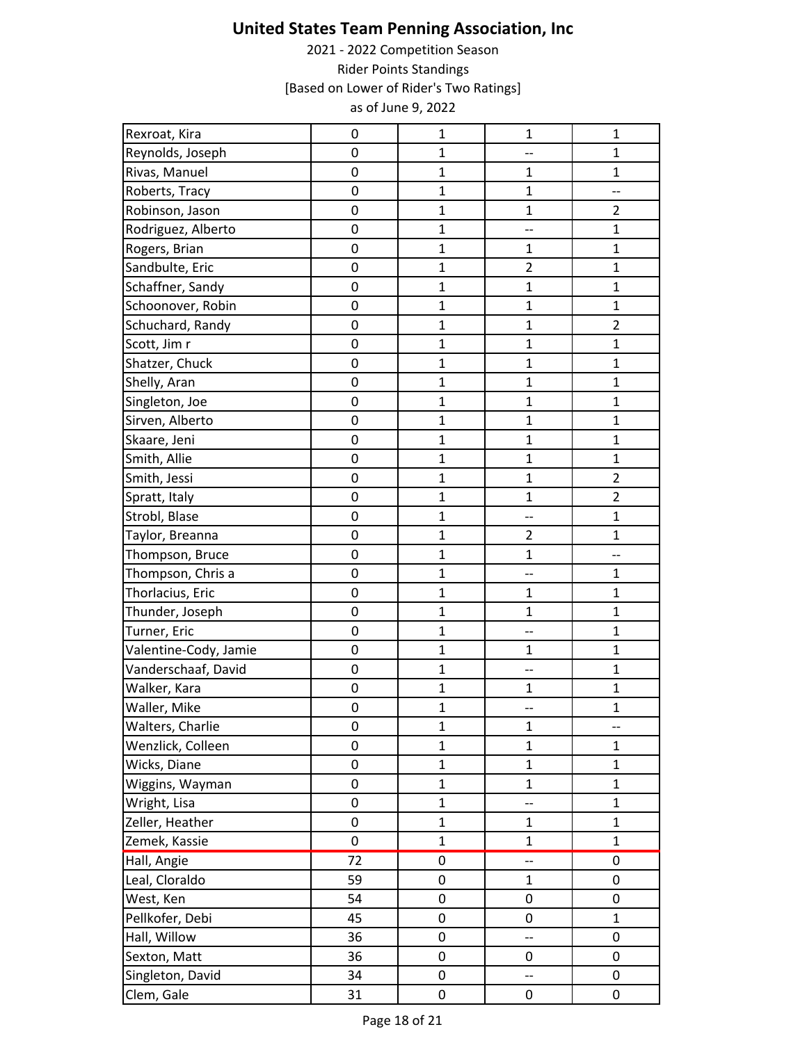| Rexroat, Kira         | 0                   | $\mathbf 1$    | $\mathbf 1$              | $\mathbf 1$              |
|-----------------------|---------------------|----------------|--------------------------|--------------------------|
| Reynolds, Joseph      | 0                   | $\mathbf{1}$   | --                       | $\mathbf{1}$             |
| Rivas, Manuel         | 0                   | $\mathbf{1}$   | 1                        | $\mathbf 1$              |
| Roberts, Tracy        | 0                   | $\mathbf{1}$   | $\mathbf{1}$             | $\overline{\phantom{a}}$ |
| Robinson, Jason       | $\mathbf 0$         | $\mathbf{1}$   | $\mathbf{1}$             | $\overline{2}$           |
| Rodriguez, Alberto    | 0                   | $\mathbf{1}$   | --                       | $\mathbf{1}$             |
| Rogers, Brian         | $\mathbf 0$         | $\mathbf{1}$   | $\mathbf{1}$             | $\mathbf{1}$             |
| Sandbulte, Eric       | 0                   | $\mathbf 1$    | $\overline{2}$           | $\mathbf{1}$             |
| Schaffner, Sandy      | $\mathbf 0$         | $\overline{1}$ | $\mathbf{1}$             | $\mathbf 1$              |
| Schoonover, Robin     | $\mathbf 0$         | $\mathbf{1}$   | $\mathbf{1}$             | $\mathbf{1}$             |
| Schuchard, Randy      | 0                   | $\mathbf{1}$   | $\mathbf{1}$             | $\overline{2}$           |
| Scott, Jim r          | 0                   | $\mathbf 1$    | $\mathbf{1}$             | $\mathbf{1}$             |
| Shatzer, Chuck        | 0                   | $\mathbf{1}$   | $\mathbf{1}$             | $\mathbf{1}$             |
| Shelly, Aran          | $\mathbf 0$         | $\mathbf{1}$   | $\mathbf{1}$             | $\mathbf{1}$             |
| Singleton, Joe        | 0                   | $\mathbf 1$    | $\mathbf{1}$             | $\mathbf 1$              |
| Sirven, Alberto       | 0                   | $\mathbf{1}$   | $\mathbf{1}$             | $\mathbf{1}$             |
| Skaare, Jeni          | $\mathbf 0$         | $\mathbf 1$    | $\mathbf{1}$             | $\mathbf{1}$             |
| Smith, Allie          | 0                   | $\mathbf{1}$   | $\mathbf{1}$             | $\mathbf{1}$             |
| Smith, Jessi          | $\mathbf 0$         | $\mathbf{1}$   | $\mathbf{1}$             | $\overline{2}$           |
| Spratt, Italy         | $\mathbf 0$         | $\mathbf 1$    | $\mathbf 1$              | $\overline{2}$           |
| Strobl, Blase         | 0                   | $\mathbf{1}$   | --                       | $\mathbf{1}$             |
| Taylor, Breanna       | $\mathbf 0$         | $\mathbf 1$    | $\overline{2}$           | $\mathbf{1}$             |
| Thompson, Bruce       | 0                   | $\mathbf{1}$   | $\mathbf{1}$             | --                       |
| Thompson, Chris a     | 0                   | $\mathbf{1}$   | --                       | 1                        |
| Thorlacius, Eric      | 0                   | $\mathbf 1$    | $\mathbf{1}$             | $\mathbf 1$              |
| Thunder, Joseph       | $\mathbf 0$         | $\mathbf{1}$   | $\mathbf{1}$             | $\mathbf{1}$             |
| Turner, Eric          | $\mathbf 0$         | $\mathbf 1$    | --                       | $\mathbf{1}$             |
| Valentine-Cody, Jamie | $\mathbf 0$         | $\overline{1}$ | $\mathbf{1}$             | $\mathbf 1$              |
| Vanderschaaf, David   | 0                   | $\mathbf{1}$   | --                       | $\mathbf{1}$             |
| Walker, Kara          | 0                   | $\mathbf{1}$   | 1                        | $\mathbf{1}$             |
| Waller, Mike          | $\mathbf 0$         | $\mathbf{1}$   | --                       | $\mathbf{1}$             |
| Walters, Charlie      | 0                   | $\mathbf{1}$   | $\mathbf{1}$             | $\overline{\phantom{a}}$ |
| Wenzlick, Colleen     | 0                   | $\mathbf{1}$   | $\mathbf{1}$             | $\mathbf{1}$             |
| Wicks, Diane          | $\mathsf{O}\xspace$ | $\mathbf 1$    | $\mathbf{1}$             | $\mathbf 1$              |
| Wiggins, Wayman       | 0                   | $\mathbf{1}$   | $\mathbf{1}$             | $\mathbf{1}$             |
| Wright, Lisa          | $\mathbf 0$         | $\mathbf{1}$   | --                       | $\mathbf{1}$             |
| Zeller, Heather       | 0                   | $\mathbf{1}$   | $\mathbf{1}$             | $\mathbf{1}$             |
| Zemek, Kassie         | $\mathbf 0$         | $\mathbf{1}$   | $\mathbf{1}$             | $\mathbf{1}$             |
| Hall, Angie           | 72                  | $\mathbf 0$    | 44                       | 0                        |
| Leal, Cloraldo        | 59                  | 0              | $\mathbf{1}$             | 0                        |
| West, Ken             | 54                  | $\mathbf 0$    | $\pmb{0}$                | $\pmb{0}$                |
| Pellkofer, Debi       | 45                  | 0              | 0                        | $\mathbf{1}$             |
| Hall, Willow          | 36                  | 0              | $\overline{a}$           | 0                        |
| Sexton, Matt          | 36                  | 0              | 0                        | 0                        |
| Singleton, David      | 34                  | 0              | $\overline{\phantom{a}}$ | 0                        |
| Clem, Gale            | 31                  | $\mathbf 0$    | 0                        | $\pmb{0}$                |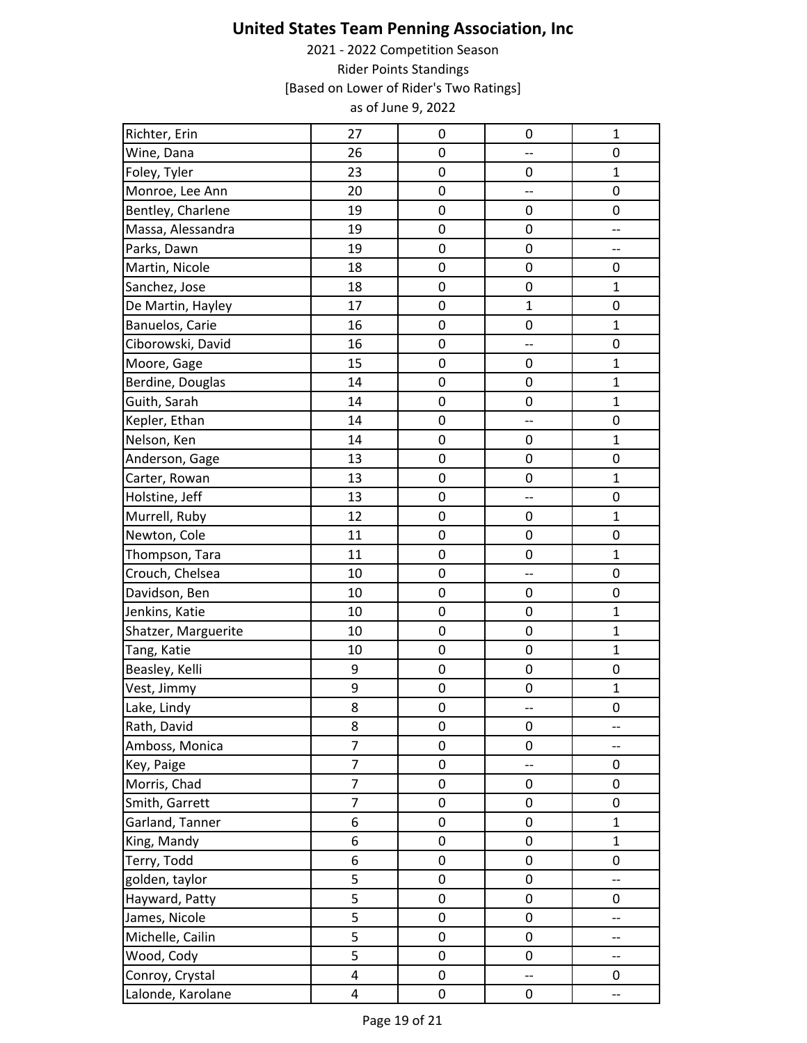| Richter, Erin       | 27             | 0                | 0                        | $\mathbf{1}$             |
|---------------------|----------------|------------------|--------------------------|--------------------------|
| Wine, Dana          | 26             | $\mathbf 0$      | --                       | 0                        |
| Foley, Tyler        | 23             | $\mathbf 0$      | 0                        | $\mathbf{1}$             |
| Monroe, Lee Ann     | 20             | $\mathbf 0$      | $\overline{\phantom{a}}$ | 0                        |
| Bentley, Charlene   | 19             | $\mathbf 0$      | 0                        | 0                        |
| Massa, Alessandra   | 19             | $\mathbf 0$      | 0                        | --                       |
| Parks, Dawn         | 19             | $\mathbf 0$      | 0                        | --                       |
| Martin, Nicole      | 18             | $\pmb{0}$        | 0                        | 0                        |
| Sanchez, Jose       | 18             | $\mathbf 0$      | $\boldsymbol{0}$         | $\mathbf{1}$             |
| De Martin, Hayley   | 17             | $\mathbf 0$      | $\mathbf{1}$             | $\mathbf 0$              |
| Banuelos, Carie     | 16             | $\mathbf 0$      | 0                        | 1                        |
| Ciborowski, David   | 16             | 0                | --                       | 0                        |
| Moore, Gage         | 15             | $\pmb{0}$        | 0                        | $\mathbf 1$              |
| Berdine, Douglas    | 14             | $\mathbf 0$      | 0                        | $\mathbf{1}$             |
| Guith, Sarah        | 14             | $\mathbf 0$      | $\pmb{0}$                | $\mathbf{1}$             |
| Kepler, Ethan       | 14             | $\mathbf 0$      | --                       | 0                        |
| Nelson, Ken         | 14             | $\mathbf 0$      | 0                        | $\mathbf{1}$             |
| Anderson, Gage      | 13             | $\boldsymbol{0}$ | 0                        | 0                        |
| Carter, Rowan       | 13             | $\mathbf 0$      | 0                        | $\mathbf{1}$             |
| Holstine, Jeff      | 13             | $\pmb{0}$        | --                       | $\pmb{0}$                |
| Murrell, Ruby       | 12             | $\mathbf 0$      | 0                        | $\mathbf 1$              |
| Newton, Cole        | 11             | $\mathbf 0$      | 0                        | 0                        |
| Thompson, Tara      | 11             | $\mathbf 0$      | $\boldsymbol{0}$         | $\mathbf{1}$             |
| Crouch, Chelsea     | 10             | $\mathbf 0$      | --                       | 0                        |
| Davidson, Ben       | 10             | $\pmb{0}$        | 0                        | 0                        |
| Jenkins, Katie      | 10             | $\mathbf 0$      | 0                        | $\mathbf{1}$             |
| Shatzer, Marguerite | 10             | $\pmb{0}$        | $\pmb{0}$                | $\mathbf 1$              |
| Tang, Katie         | 10             | $\mathbf 0$      | $\boldsymbol{0}$         | $\mathbf{1}$             |
| Beasley, Kelli      | 9              | $\mathbf 0$      | 0                        | $\mathbf 0$              |
| Vest, Jimmy         | 9              | 0                | 0                        | $\mathbf 1$              |
| Lake, Lindy         | 8              | $\mathbf 0$      | $\overline{\phantom{a}}$ | $\mathbf 0$              |
| Rath, David         | 8              | $\boldsymbol{0}$ | 0                        | --                       |
| Amboss, Monica      | $\overline{7}$ | $\mathbf 0$      | $\pmb{0}$                | --                       |
| Key, Paige          | 7              | $\boldsymbol{0}$ | $\overline{\phantom{a}}$ | 0                        |
| Morris, Chad        | $\overline{7}$ | $\pmb{0}$        | 0                        | 0                        |
| Smith, Garrett      | $\overline{7}$ | $\mathbf 0$      | 0                        | $\mathbf 0$              |
| Garland, Tanner     | 6              | $\mathbf 0$      | 0                        | $\mathbf{1}$             |
| King, Mandy         | 6              | $\pmb{0}$        | 0                        | $\mathbf{1}$             |
| Terry, Todd         | 6              | $\pmb{0}$        | 0                        | $\pmb{0}$                |
| golden, taylor      | 5              | $\mathbf 0$      | $\pmb{0}$                | $\overline{\phantom{a}}$ |
| Hayward, Patty      | 5              | $\pmb{0}$        | 0                        | 0                        |
| James, Nicole       | 5              | $\mathbf 0$      | 0                        | --                       |
| Michelle, Cailin    | 5              | 0                | 0                        | --                       |
| Wood, Cody          | 5              | $\pmb{0}$        | 0                        | --                       |
| Conroy, Crystal     | 4              | $\mathbf 0$      | --                       | 0                        |
| Lalonde, Karolane   | 4              | $\mathbf 0$      | 0                        | --                       |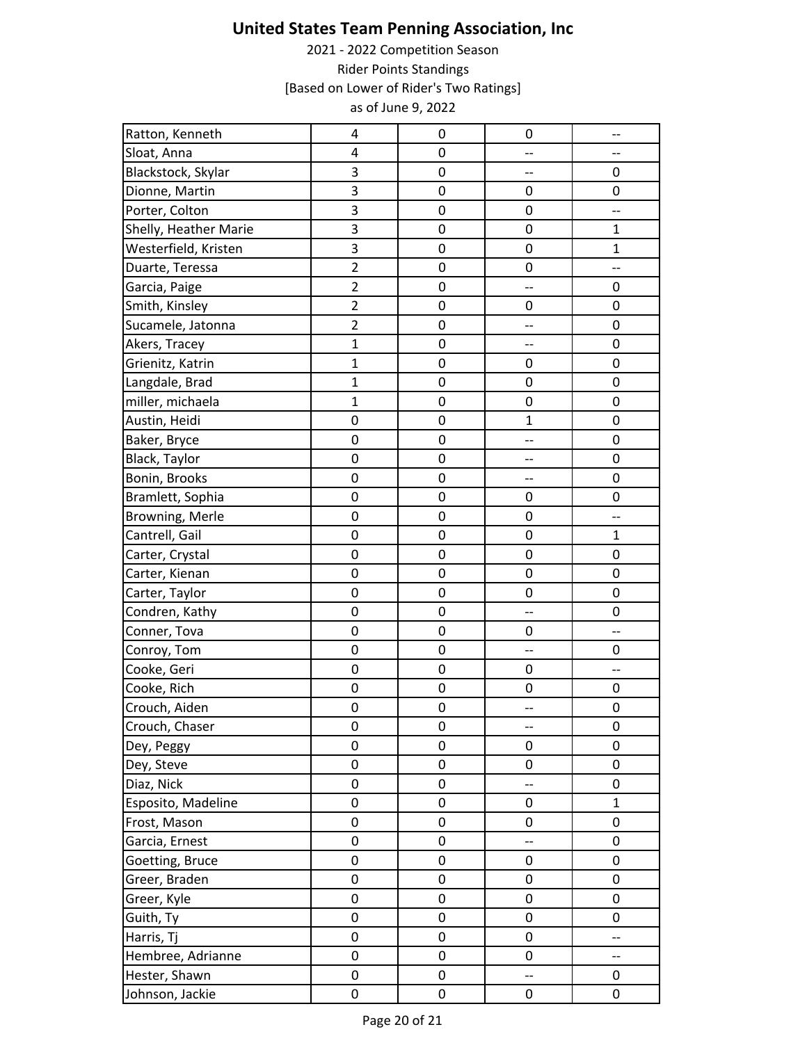| Ratton, Kenneth       | 4              | 0           | 0                        | $\overline{\phantom{a}}$ |
|-----------------------|----------------|-------------|--------------------------|--------------------------|
| Sloat, Anna           | 4              | 0           | --                       |                          |
| Blackstock, Skylar    | 3              | $\mathbf 0$ | --                       | 0                        |
| Dionne, Martin        | 3              | 0           | 0                        | 0                        |
| Porter, Colton        | 3              | 0           | 0                        | --                       |
| Shelly, Heather Marie | 3              | 0           | 0                        | $\mathbf{1}$             |
| Westerfield, Kristen  | 3              | 0           | 0                        | $\mathbf{1}$             |
| Duarte, Teressa       | $\overline{2}$ | 0           | 0                        | --                       |
| Garcia, Paige         | $\overline{2}$ | $\mathbf 0$ | --                       | $\mathbf 0$              |
| Smith, Kinsley        | $\overline{2}$ | $\mathbf 0$ | 0                        | 0                        |
| Sucamele, Jatonna     | $\overline{2}$ | 0           | ÷-                       | $\boldsymbol{0}$         |
| Akers, Tracey         | $\overline{1}$ | 0           | --                       | 0                        |
| Grienitz, Katrin      | $\overline{1}$ | $\mathbf 0$ | 0                        | $\pmb{0}$                |
| Langdale, Brad        | $\overline{1}$ | $\mathbf 0$ | 0                        | $\mathbf 0$              |
| miller, michaela      | $\overline{1}$ | $\mathbf 0$ | $\boldsymbol{0}$         | $\mathbf 0$              |
| Austin, Heidi         | $\mathbf 0$    | 0           | $\mathbf{1}$             | 0                        |
| Baker, Bryce          | $\mathbf 0$    | 0           | --                       | 0                        |
| Black, Taylor         | $\mathbf 0$    | 0           | --                       | 0                        |
| Bonin, Brooks         | $\mathbf 0$    | $\mathbf 0$ | --                       | 0                        |
| Bramlett, Sophia      | $\mathbf 0$    | $\mathbf 0$ | 0                        | $\pmb{0}$                |
| Browning, Merle       | $\mathbf 0$    | 0           | 0                        | --                       |
| Cantrell, Gail        | $\mathbf 0$    | 0           | 0                        | $\mathbf 1$              |
| Carter, Crystal       | $\pmb{0}$      | 0           | 0                        | 0                        |
| Carter, Kienan        | $\mathbf 0$    | 0           | $\boldsymbol{0}$         | $\mathbf 0$              |
| Carter, Taylor        | $\mathbf 0$    | 0           | 0                        | 0                        |
| Condren, Kathy        | $\mathbf 0$    | $\mathbf 0$ | --                       | 0                        |
| Conner, Tova          | $\mathbf 0$    | 0           | 0                        | --                       |
| Conroy, Tom           | $\mathbf 0$    | 0           | --                       | 0                        |
| Cooke, Geri           | $\mathbf 0$    | 0           | 0                        | $\overline{\phantom{a}}$ |
| Cooke, Rich           | 0              | 0           | 0                        | 0                        |
| Crouch, Aiden         | $\mathbf 0$    | $\mathbf 0$ | --                       | $\boldsymbol{0}$         |
| Crouch, Chaser        | 0              | 0           | --                       | 0                        |
| Dey, Peggy            | 0              | 0           | 0                        | 0                        |
| Dey, Steve            | $\pmb{0}$      | $\mathbf 0$ | 0                        | 0                        |
| Diaz, Nick            | 0              | 0           | $\overline{\phantom{a}}$ | 0                        |
| Esposito, Madeline    | 0              | $\mathbf 0$ | 0                        | $\mathbf{1}$             |
| Frost, Mason          | 0              | 0           | 0                        | 0                        |
| Garcia, Ernest        | $\mathbf 0$    | 0           | --                       | 0                        |
| Goetting, Bruce       | $\pmb{0}$      | 0           | 0                        | 0                        |
| Greer, Braden         | $\mathbf 0$    | 0           | 0                        | 0                        |
| Greer, Kyle           | $\mathbf 0$    | 0           | 0                        | 0                        |
| Guith, Ty             | 0              | 0           | 0                        | 0                        |
| Harris, Tj            | $\mathbf 0$    | 0           | 0                        | --                       |
| Hembree, Adrianne     | $\mathbf 0$    | 0           | $\boldsymbol{0}$         | $\overline{\phantom{a}}$ |
| Hester, Shawn         | $\mathbf 0$    | 0           | --                       | 0                        |
| Johnson, Jackie       | $\pmb{0}$      | $\pmb{0}$   | 0                        | 0                        |